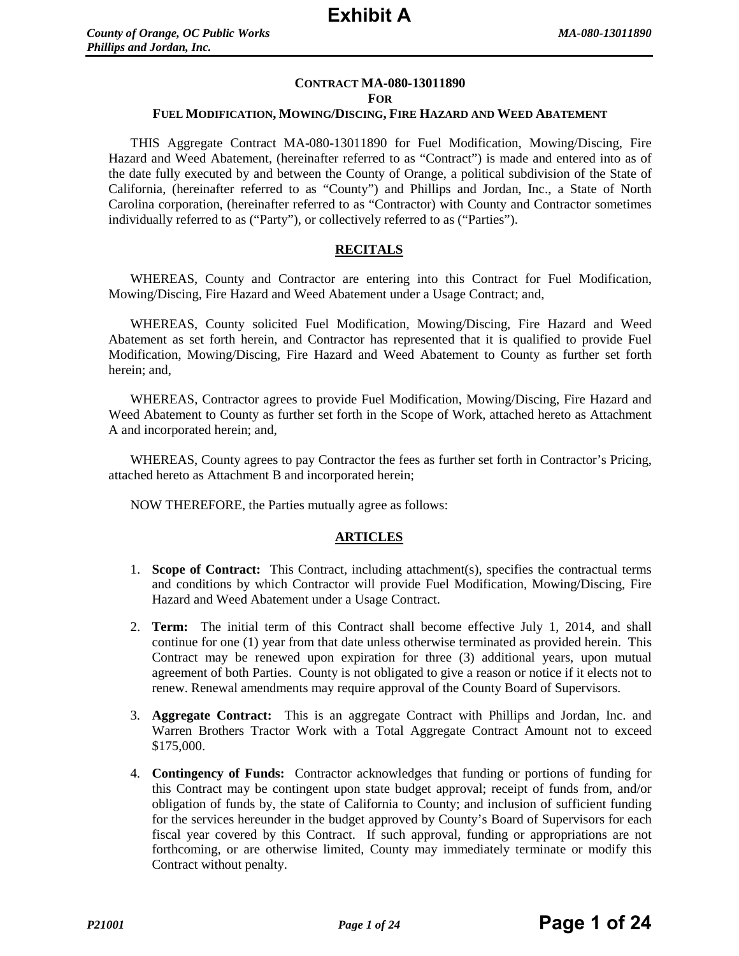## **CONTRACT MA-080-13011890**

#### **FOR**

#### **FUEL MODIFICATION, MOWING/DISCING, FIRE HAZARD AND WEED ABATEMENT**

THIS Aggregate Contract MA-080-13011890 for Fuel Modification, Mowing/Discing, Fire Hazard and Weed Abatement, (hereinafter referred to as "Contract") is made and entered into as of the date fully executed by and between the County of Orange, a political subdivision of the State of California, (hereinafter referred to as "County") and Phillips and Jordan, Inc., a State of North Carolina corporation, (hereinafter referred to as "Contractor) with County and Contractor sometimes individually referred to as ("Party"), or collectively referred to as ("Parties").

## **RECITALS**

WHEREAS, County and Contractor are entering into this Contract for Fuel Modification, Mowing/Discing, Fire Hazard and Weed Abatement under a Usage Contract; and,

WHEREAS, County solicited Fuel Modification, Mowing/Discing, Fire Hazard and Weed Abatement as set forth herein, and Contractor has represented that it is qualified to provide Fuel Modification, Mowing/Discing, Fire Hazard and Weed Abatement to County as further set forth herein; and,

WHEREAS, Contractor agrees to provide Fuel Modification, Mowing/Discing, Fire Hazard and Weed Abatement to County as further set forth in the Scope of Work, attached hereto as Attachment A and incorporated herein; and,

WHEREAS, County agrees to pay Contractor the fees as further set forth in Contractor's Pricing, attached hereto as Attachment B and incorporated herein;

NOW THEREFORE, the Parties mutually agree as follows:

#### **ARTICLES**

- 1. **Scope of Contract:** This Contract, including attachment(s), specifies the contractual terms and conditions by which Contractor will provide Fuel Modification, Mowing/Discing, Fire Hazard and Weed Abatement under a Usage Contract.
- 2. **Term:** The initial term of this Contract shall become effective July 1, 2014, and shall continue for one (1) year from that date unless otherwise terminated as provided herein. This Contract may be renewed upon expiration for three (3) additional years, upon mutual agreement of both Parties. County is not obligated to give a reason or notice if it elects not to renew. Renewal amendments may require approval of the County Board of Supervisors.
- 3. **Aggregate Contract:** This is an aggregate Contract with Phillips and Jordan, Inc. and Warren Brothers Tractor Work with a Total Aggregate Contract Amount not to exceed \$175,000.
- 4. **Contingency of Funds:** Contractor acknowledges that funding or portions of funding for this Contract may be contingent upon state budget approval; receipt of funds from, and/or obligation of funds by, the state of California to County; and inclusion of sufficient funding for the services hereunder in the budget approved by County's Board of Supervisors for each fiscal year covered by this Contract. If such approval, funding or appropriations are not forthcoming, or are otherwise limited, County may immediately terminate or modify this Contract without penalty.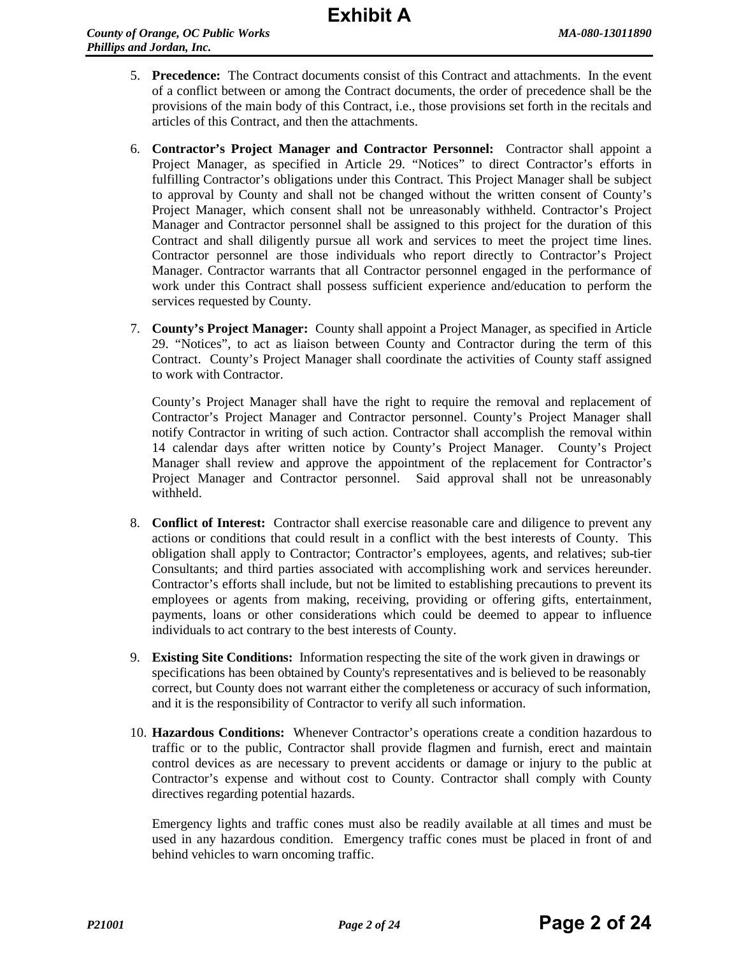- 5. **Precedence:** The Contract documents consist of this Contract and attachments. In the event of a conflict between or among the Contract documents, the order of precedence shall be the provisions of the main body of this Contract, i.e., those provisions set forth in the recitals and articles of this Contract, and then the attachments.
- 6. **Contractor's Project Manager and Contractor Personnel:** Contractor shall appoint a Project Manager, as specified in Article 29. "Notices" to direct Contractor's efforts in fulfilling Contractor's obligations under this Contract. This Project Manager shall be subject to approval by County and shall not be changed without the written consent of County's Project Manager, which consent shall not be unreasonably withheld. Contractor's Project Manager and Contractor personnel shall be assigned to this project for the duration of this Contract and shall diligently pursue all work and services to meet the project time lines. Contractor personnel are those individuals who report directly to Contractor's Project Manager. Contractor warrants that all Contractor personnel engaged in the performance of work under this Contract shall possess sufficient experience and/education to perform the services requested by County.
- 7. **County's Project Manager:** County shall appoint a Project Manager, as specified in Article 29. "Notices", to act as liaison between County and Contractor during the term of this Contract. County's Project Manager shall coordinate the activities of County staff assigned to work with Contractor.

County's Project Manager shall have the right to require the removal and replacement of Contractor's Project Manager and Contractor personnel. County's Project Manager shall notify Contractor in writing of such action. Contractor shall accomplish the removal within 14 calendar days after written notice by County's Project Manager. County's Project Manager shall review and approve the appointment of the replacement for Contractor's Project Manager and Contractor personnel. Said approval shall not be unreasonably withheld.

- 8. **Conflict of Interest:** Contractor shall exercise reasonable care and diligence to prevent any actions or conditions that could result in a conflict with the best interests of County. This obligation shall apply to Contractor; Contractor's employees, agents, and relatives; sub-tier Consultants; and third parties associated with accomplishing work and services hereunder. Contractor's efforts shall include, but not be limited to establishing precautions to prevent its employees or agents from making, receiving, providing or offering gifts, entertainment, payments, loans or other considerations which could be deemed to appear to influence individuals to act contrary to the best interests of County.
- 9. **Existing Site Conditions:** Information respecting the site of the work given in drawings or specifications has been obtained by County's representatives and is believed to be reasonably correct, but County does not warrant either the completeness or accuracy of such information, and it is the responsibility of Contractor to verify all such information.
- 10. **Hazardous Conditions:** Whenever Contractor's operations create a condition hazardous to traffic or to the public, Contractor shall provide flagmen and furnish, erect and maintain control devices as are necessary to prevent accidents or damage or injury to the public at Contractor's expense and without cost to County. Contractor shall comply with County directives regarding potential hazards.

Emergency lights and traffic cones must also be readily available at all times and must be used in any hazardous condition. Emergency traffic cones must be placed in front of and behind vehicles to warn oncoming traffic.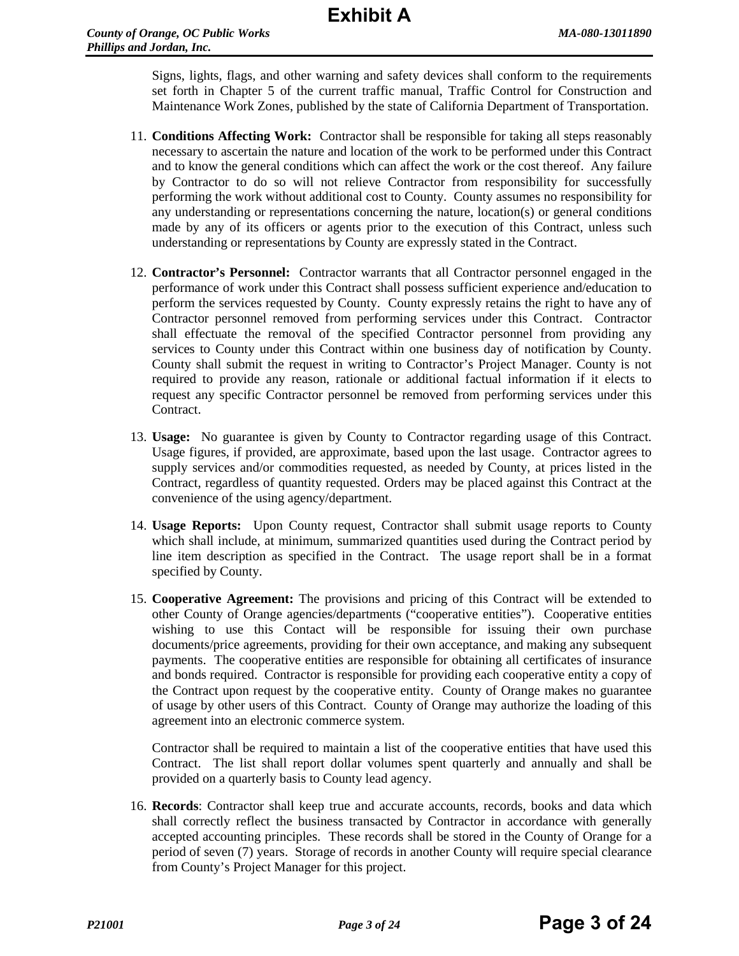Signs, lights, flags, and other warning and safety devices shall conform to the requirements set forth in Chapter 5 of the current traffic manual, Traffic Control for Construction and Maintenance Work Zones, published by the state of California Department of Transportation.

- 11. **Conditions Affecting Work:** Contractor shall be responsible for taking all steps reasonably necessary to ascertain the nature and location of the work to be performed under this Contract and to know the general conditions which can affect the work or the cost thereof. Any failure by Contractor to do so will not relieve Contractor from responsibility for successfully performing the work without additional cost to County. County assumes no responsibility for any understanding or representations concerning the nature, location(s) or general conditions made by any of its officers or agents prior to the execution of this Contract, unless such understanding or representations by County are expressly stated in the Contract.
- 12. **Contractor's Personnel:** Contractor warrants that all Contractor personnel engaged in the performance of work under this Contract shall possess sufficient experience and/education to perform the services requested by County. County expressly retains the right to have any of Contractor personnel removed from performing services under this Contract. Contractor shall effectuate the removal of the specified Contractor personnel from providing any services to County under this Contract within one business day of notification by County. County shall submit the request in writing to Contractor's Project Manager. County is not required to provide any reason, rationale or additional factual information if it elects to request any specific Contractor personnel be removed from performing services under this Contract.
- 13. **Usage:** No guarantee is given by County to Contractor regarding usage of this Contract. Usage figures, if provided, are approximate, based upon the last usage. Contractor agrees to supply services and/or commodities requested, as needed by County, at prices listed in the Contract, regardless of quantity requested. Orders may be placed against this Contract at the convenience of the using agency/department.
- 14. **Usage Reports:** Upon County request, Contractor shall submit usage reports to County which shall include, at minimum, summarized quantities used during the Contract period by line item description as specified in the Contract. The usage report shall be in a format specified by County.
- 15. **Cooperative Agreement:** The provisions and pricing of this Contract will be extended to other County of Orange agencies/departments ("cooperative entities"). Cooperative entities wishing to use this Contact will be responsible for issuing their own purchase documents/price agreements, providing for their own acceptance, and making any subsequent payments. The cooperative entities are responsible for obtaining all certificates of insurance and bonds required. Contractor is responsible for providing each cooperative entity a copy of the Contract upon request by the cooperative entity. County of Orange makes no guarantee of usage by other users of this Contract. County of Orange may authorize the loading of this agreement into an electronic commerce system.

Contractor shall be required to maintain a list of the cooperative entities that have used this Contract. The list shall report dollar volumes spent quarterly and annually and shall be provided on a quarterly basis to County lead agency.

16. **Records**: Contractor shall keep true and accurate accounts, records, books and data which shall correctly reflect the business transacted by Contractor in accordance with generally accepted accounting principles. These records shall be stored in the County of Orange for a period of seven (7) years. Storage of records in another County will require special clearance from County's Project Manager for this project.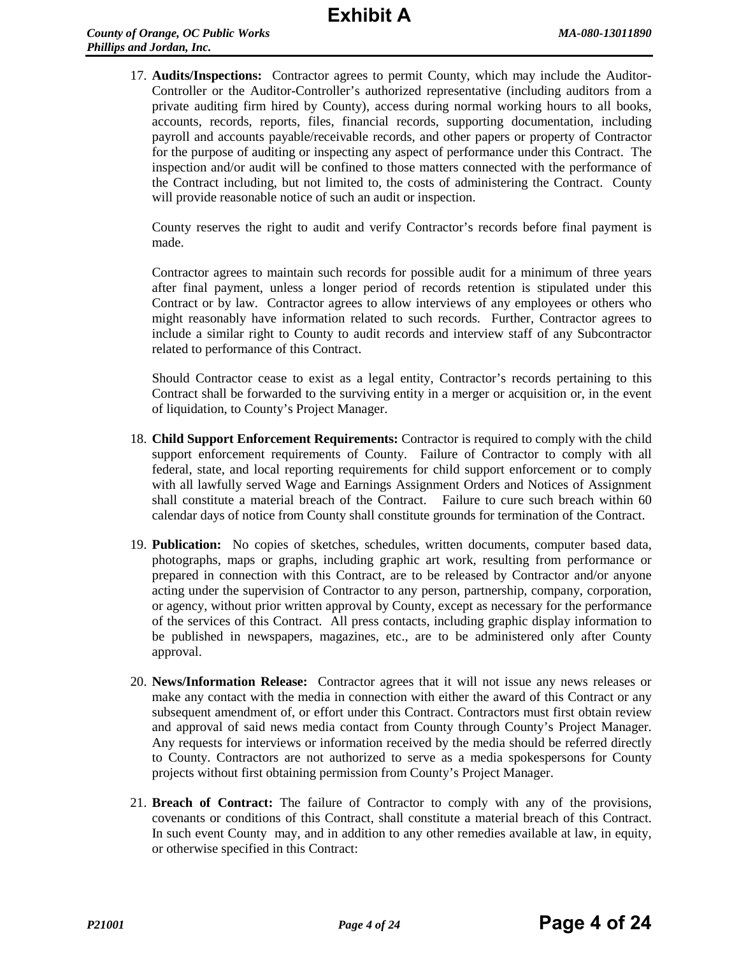17. **Audits/Inspections:** Contractor agrees to permit County, which may include the Auditor-Controller or the Auditor-Controller's authorized representative (including auditors from a private auditing firm hired by County), access during normal working hours to all books, accounts, records, reports, files, financial records, supporting documentation, including payroll and accounts payable/receivable records, and other papers or property of Contractor for the purpose of auditing or inspecting any aspect of performance under this Contract. The inspection and/or audit will be confined to those matters connected with the performance of the Contract including, but not limited to, the costs of administering the Contract. County will provide reasonable notice of such an audit or inspection.

County reserves the right to audit and verify Contractor's records before final payment is made.

Contractor agrees to maintain such records for possible audit for a minimum of three years after final payment, unless a longer period of records retention is stipulated under this Contract or by law. Contractor agrees to allow interviews of any employees or others who might reasonably have information related to such records. Further, Contractor agrees to include a similar right to County to audit records and interview staff of any Subcontractor related to performance of this Contract.

Should Contractor cease to exist as a legal entity, Contractor's records pertaining to this Contract shall be forwarded to the surviving entity in a merger or acquisition or, in the event of liquidation, to County's Project Manager.

- 18. **Child Support Enforcement Requirements:** Contractor is required to comply with the child support enforcement requirements of County. Failure of Contractor to comply with all federal, state, and local reporting requirements for child support enforcement or to comply with all lawfully served Wage and Earnings Assignment Orders and Notices of Assignment shall constitute a material breach of the Contract. Failure to cure such breach within 60 calendar days of notice from County shall constitute grounds for termination of the Contract.
- 19. **Publication:** No copies of sketches, schedules, written documents, computer based data, photographs, maps or graphs, including graphic art work, resulting from performance or prepared in connection with this Contract, are to be released by Contractor and/or anyone acting under the supervision of Contractor to any person, partnership, company, corporation, or agency, without prior written approval by County, except as necessary for the performance of the services of this Contract. All press contacts, including graphic display information to be published in newspapers, magazines, etc., are to be administered only after County approval.
- 20. **News/Information Release:** Contractor agrees that it will not issue any news releases or make any contact with the media in connection with either the award of this Contract or any subsequent amendment of, or effort under this Contract. Contractors must first obtain review and approval of said news media contact from County through County's Project Manager. Any requests for interviews or information received by the media should be referred directly to County. Contractors are not authorized to serve as a media spokespersons for County projects without first obtaining permission from County's Project Manager.
- 21. **Breach of Contract:** The failure of Contractor to comply with any of the provisions, covenants or conditions of this Contract, shall constitute a material breach of this Contract. In such event County may, and in addition to any other remedies available at law, in equity, or otherwise specified in this Contract: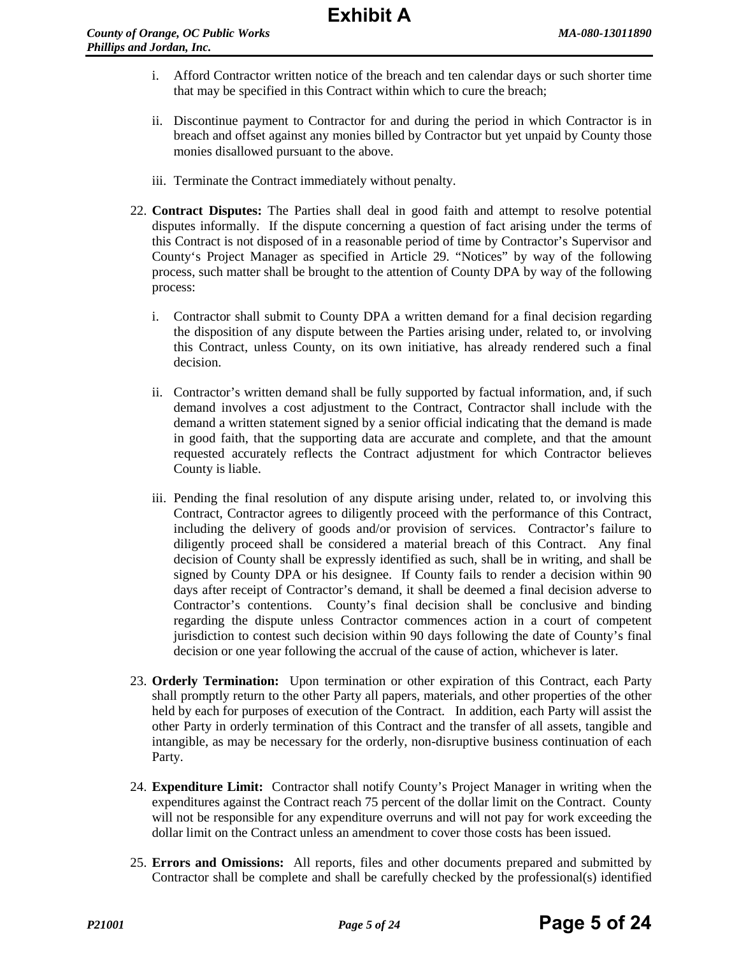- i. Afford Contractor written notice of the breach and ten calendar days or such shorter time that may be specified in this Contract within which to cure the breach;
- ii. Discontinue payment to Contractor for and during the period in which Contractor is in breach and offset against any monies billed by Contractor but yet unpaid by County those monies disallowed pursuant to the above.
- iii. Terminate the Contract immediately without penalty.
- 22. **Contract Disputes:** The Parties shall deal in good faith and attempt to resolve potential disputes informally. If the dispute concerning a question of fact arising under the terms of this Contract is not disposed of in a reasonable period of time by Contractor's Supervisor and County's Project Manager as specified in Article 29. "Notices" by way of the following process, such matter shall be brought to the attention of County DPA by way of the following process:
	- i. Contractor shall submit to County DPA a written demand for a final decision regarding the disposition of any dispute between the Parties arising under, related to, or involving this Contract, unless County, on its own initiative, has already rendered such a final decision.
	- ii. Contractor's written demand shall be fully supported by factual information, and, if such demand involves a cost adjustment to the Contract, Contractor shall include with the demand a written statement signed by a senior official indicating that the demand is made in good faith, that the supporting data are accurate and complete, and that the amount requested accurately reflects the Contract adjustment for which Contractor believes County is liable.
	- iii. Pending the final resolution of any dispute arising under, related to, or involving this Contract, Contractor agrees to diligently proceed with the performance of this Contract, including the delivery of goods and/or provision of services. Contractor's failure to diligently proceed shall be considered a material breach of this Contract. Any final decision of County shall be expressly identified as such, shall be in writing, and shall be signed by County DPA or his designee. If County fails to render a decision within 90 days after receipt of Contractor's demand, it shall be deemed a final decision adverse to Contractor's contentions. County's final decision shall be conclusive and binding regarding the dispute unless Contractor commences action in a court of competent jurisdiction to contest such decision within 90 days following the date of County's final decision or one year following the accrual of the cause of action, whichever is later.
- 23. **Orderly Termination:** Upon termination or other expiration of this Contract, each Party shall promptly return to the other Party all papers, materials, and other properties of the other held by each for purposes of execution of the Contract. In addition, each Party will assist the other Party in orderly termination of this Contract and the transfer of all assets, tangible and intangible, as may be necessary for the orderly, non-disruptive business continuation of each Party.
- 24. **Expenditure Limit:** Contractor shall notify County's Project Manager in writing when the expenditures against the Contract reach 75 percent of the dollar limit on the Contract. County will not be responsible for any expenditure overruns and will not pay for work exceeding the dollar limit on the Contract unless an amendment to cover those costs has been issued.
- 25. **Errors and Omissions:** All reports, files and other documents prepared and submitted by Contractor shall be complete and shall be carefully checked by the professional(s) identified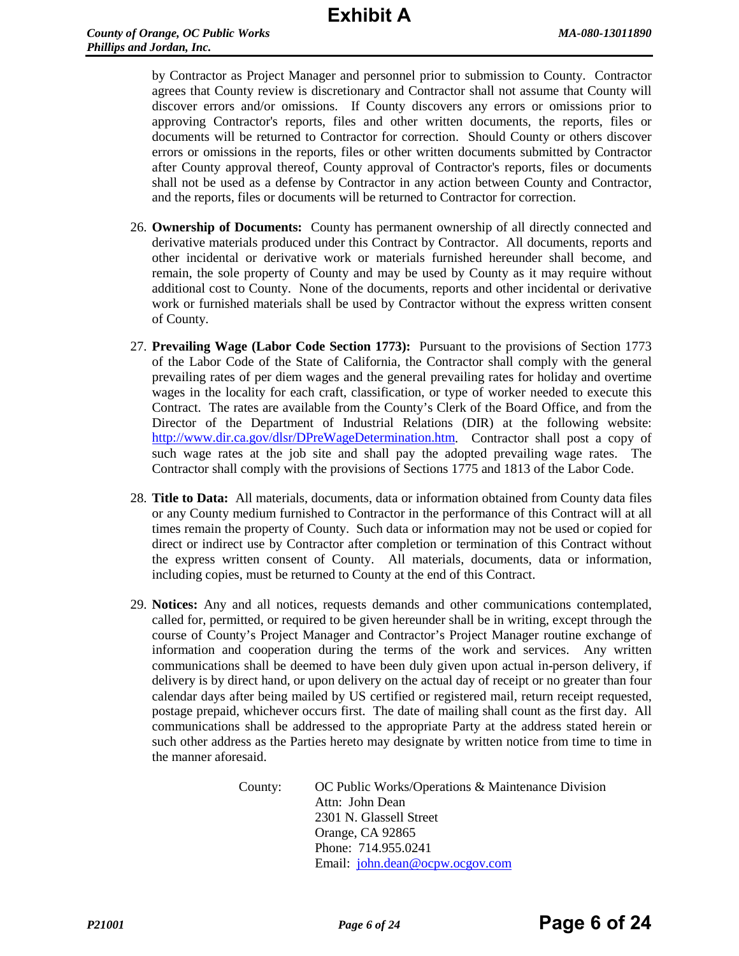by Contractor as Project Manager and personnel prior to submission to County. Contractor agrees that County review is discretionary and Contractor shall not assume that County will discover errors and/or omissions. If County discovers any errors or omissions prior to approving Contractor's reports, files and other written documents, the reports, files or documents will be returned to Contractor for correction. Should County or others discover errors or omissions in the reports, files or other written documents submitted by Contractor after County approval thereof, County approval of Contractor's reports, files or documents shall not be used as a defense by Contractor in any action between County and Contractor, and the reports, files or documents will be returned to Contractor for correction.

- 26. **Ownership of Documents:** County has permanent ownership of all directly connected and derivative materials produced under this Contract by Contractor. All documents, reports and other incidental or derivative work or materials furnished hereunder shall become, and remain, the sole property of County and may be used by County as it may require without additional cost to County. None of the documents, reports and other incidental or derivative work or furnished materials shall be used by Contractor without the express written consent of County.
- 27. **Prevailing Wage (Labor Code Section 1773):** Pursuant to the provisions of Section 1773 of the Labor Code of the State of California, the Contractor shall comply with the general prevailing rates of per diem wages and the general prevailing rates for holiday and overtime wages in the locality for each craft, classification, or type of worker needed to execute this Contract. The rates are available from the County's Clerk of the Board Office, and from the Director of the Department of Industrial Relations (DIR) at the following website: [http://www.dir.ca.gov/dlsr/DPreWageDetermination.htm.](http://www.dir.ca.gov/dlsr/DPreWageDetermination.htm) Contractor shall post a copy of such wage rates at the job site and shall pay the adopted prevailing wage rates. The Contractor shall comply with the provisions of Sections 1775 and 1813 of the Labor Code.
- 28. **Title to Data:** All materials, documents, data or information obtained from County data files or any County medium furnished to Contractor in the performance of this Contract will at all times remain the property of County. Such data or information may not be used or copied for direct or indirect use by Contractor after completion or termination of this Contract without the express written consent of County. All materials, documents, data or information, including copies, must be returned to County at the end of this Contract.
- 29. **Notices:** Any and all notices, requests demands and other communications contemplated, called for, permitted, or required to be given hereunder shall be in writing, except through the course of County's Project Manager and Contractor's Project Manager routine exchange of information and cooperation during the terms of the work and services. Any written communications shall be deemed to have been duly given upon actual in-person delivery, if delivery is by direct hand, or upon delivery on the actual day of receipt or no greater than four calendar days after being mailed by US certified or registered mail, return receipt requested, postage prepaid, whichever occurs first. The date of mailing shall count as the first day. All communications shall be addressed to the appropriate Party at the address stated herein or such other address as the Parties hereto may designate by written notice from time to time in the manner aforesaid.

County: OC Public Works/Operations & Maintenance Division Attn: John Dean 2301 N. Glassell Street Orange, CA 92865 Phone: 714.955.0241 Email: [john.dean@ocpw.ocgov.com](mailto:john.dean@ocpw.ocgov.com)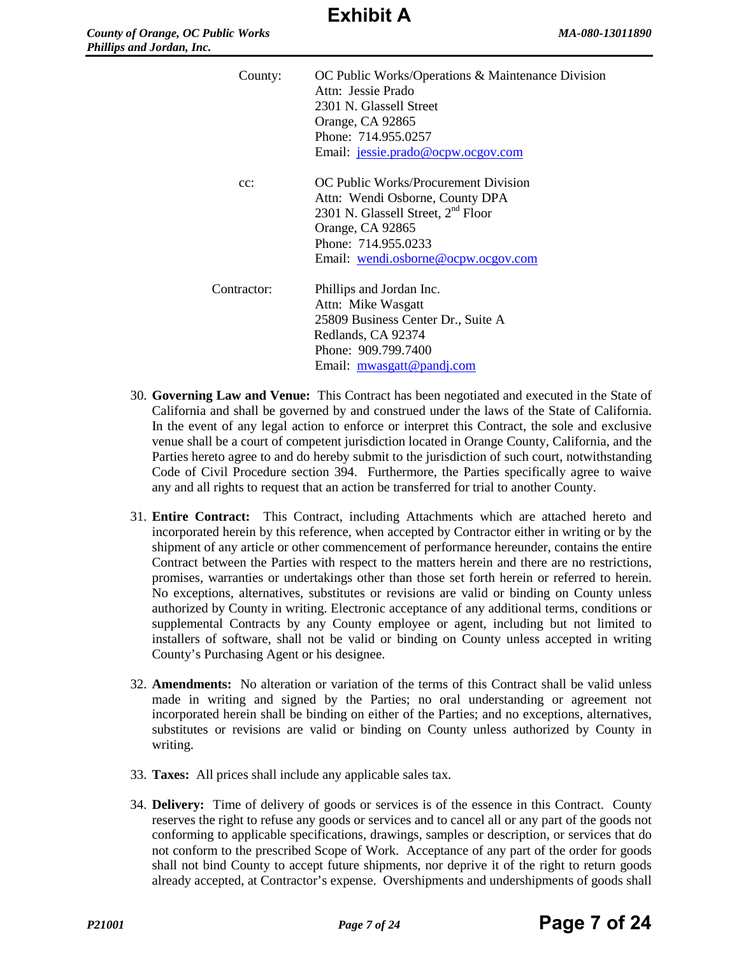| County:     | OC Public Works/Operations & Maintenance Division<br>Attn: Jessie Prado<br>2301 N. Glassell Street<br>Orange, CA 92865<br>Phone: 714.955.0257<br>Email: jessie.prado@ocpw.ocgov.com                         |
|-------------|-------------------------------------------------------------------------------------------------------------------------------------------------------------------------------------------------------------|
| $cc$ :      | OC Public Works/Procurement Division<br>Attn: Wendi Osborne, County DPA<br>2301 N. Glassell Street, 2 <sup>nd</sup> Floor<br>Orange, CA 92865<br>Phone: 714.955.0233<br>Email: wendi.osborne@ocpw.ocgov.com |
| Contractor: | Phillips and Jordan Inc.<br>Attn: Mike Wasgatt<br>25809 Business Center Dr., Suite A<br>Redlands, CA 92374<br>Phone: 909.799.7400<br>Email: mwasgatt@pandj.com                                              |

- 30. **Governing Law and Venue:** This Contract has been negotiated and executed in the State of California and shall be governed by and construed under the laws of the State of California. In the event of any legal action to enforce or interpret this Contract, the sole and exclusive venue shall be a court of competent jurisdiction located in Orange County, California, and the Parties hereto agree to and do hereby submit to the jurisdiction of such court, notwithstanding Code of Civil Procedure section 394. Furthermore, the Parties specifically agree to waive any and all rights to request that an action be transferred for trial to another County.
- 31. **Entire Contract:** This Contract, including Attachments which are attached hereto and incorporated herein by this reference, when accepted by Contractor either in writing or by the shipment of any article or other commencement of performance hereunder, contains the entire Contract between the Parties with respect to the matters herein and there are no restrictions, promises, warranties or undertakings other than those set forth herein or referred to herein. No exceptions, alternatives, substitutes or revisions are valid or binding on County unless authorized by County in writing. Electronic acceptance of any additional terms, conditions or supplemental Contracts by any County employee or agent, including but not limited to installers of software, shall not be valid or binding on County unless accepted in writing County's Purchasing Agent or his designee.
- 32. **Amendments:** No alteration or variation of the terms of this Contract shall be valid unless made in writing and signed by the Parties; no oral understanding or agreement not incorporated herein shall be binding on either of the Parties; and no exceptions, alternatives, substitutes or revisions are valid or binding on County unless authorized by County in writing.
- 33. **Taxes:** All prices shall include any applicable sales tax.
- 34. **Delivery:** Time of delivery of goods or services is of the essence in this Contract. County reserves the right to refuse any goods or services and to cancel all or any part of the goods not conforming to applicable specifications, drawings, samples or description, or services that do not conform to the prescribed Scope of Work. Acceptance of any part of the order for goods shall not bind County to accept future shipments, nor deprive it of the right to return goods already accepted, at Contractor's expense. Overshipments and undershipments of goods shall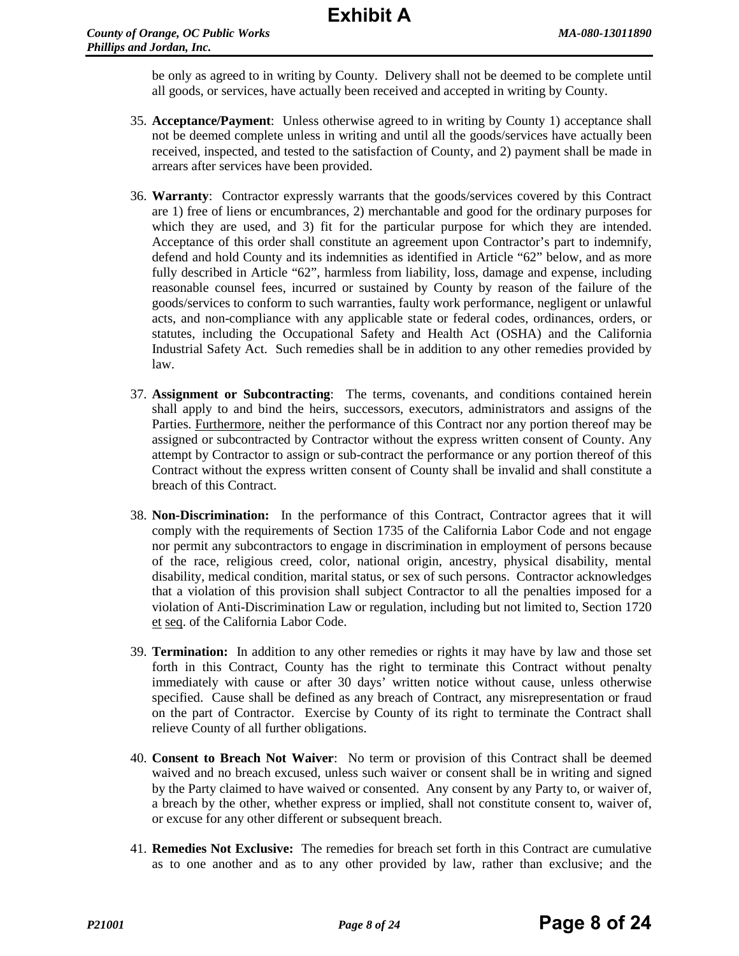be only as agreed to in writing by County. Delivery shall not be deemed to be complete until all goods, or services, have actually been received and accepted in writing by County.

- 35. **Acceptance/Payment**: Unless otherwise agreed to in writing by County 1) acceptance shall not be deemed complete unless in writing and until all the goods/services have actually been received, inspected, and tested to the satisfaction of County, and 2) payment shall be made in arrears after services have been provided.
- 36. **Warranty**: Contractor expressly warrants that the goods/services covered by this Contract are 1) free of liens or encumbrances, 2) merchantable and good for the ordinary purposes for which they are used, and 3) fit for the particular purpose for which they are intended. Acceptance of this order shall constitute an agreement upon Contractor's part to indemnify, defend and hold County and its indemnities as identified in Article "62" below, and as more fully described in Article "62", harmless from liability, loss, damage and expense, including reasonable counsel fees, incurred or sustained by County by reason of the failure of the goods/services to conform to such warranties, faulty work performance, negligent or unlawful acts, and non-compliance with any applicable state or federal codes, ordinances, orders, or statutes, including the Occupational Safety and Health Act (OSHA) and the California Industrial Safety Act. Such remedies shall be in addition to any other remedies provided by law.
- 37. **Assignment or Subcontracting**: The terms, covenants, and conditions contained herein shall apply to and bind the heirs, successors, executors, administrators and assigns of the Parties. Furthermore, neither the performance of this Contract nor any portion thereof may be assigned or subcontracted by Contractor without the express written consent of County. Any attempt by Contractor to assign or sub-contract the performance or any portion thereof of this Contract without the express written consent of County shall be invalid and shall constitute a breach of this Contract.
- 38. **Non-Discrimination:** In the performance of this Contract, Contractor agrees that it will comply with the requirements of Section 1735 of the California Labor Code and not engage nor permit any subcontractors to engage in discrimination in employment of persons because of the race, religious creed, color, national origin, ancestry, physical disability, mental disability, medical condition, marital status, or sex of such persons. Contractor acknowledges that a violation of this provision shall subject Contractor to all the penalties imposed for a violation of Anti-Discrimination Law or regulation, including but not limited to, Section 1720 et seq. of the California Labor Code.
- 39. **Termination:** In addition to any other remedies or rights it may have by law and those set forth in this Contract, County has the right to terminate this Contract without penalty immediately with cause or after 30 days' written notice without cause, unless otherwise specified. Cause shall be defined as any breach of Contract, any misrepresentation or fraud on the part of Contractor. Exercise by County of its right to terminate the Contract shall relieve County of all further obligations.
- 40. **Consent to Breach Not Waiver**: No term or provision of this Contract shall be deemed waived and no breach excused, unless such waiver or consent shall be in writing and signed by the Party claimed to have waived or consented. Any consent by any Party to, or waiver of, a breach by the other, whether express or implied, shall not constitute consent to, waiver of, or excuse for any other different or subsequent breach.
- 41. **Remedies Not Exclusive:** The remedies for breach set forth in this Contract are cumulative as to one another and as to any other provided by law, rather than exclusive; and the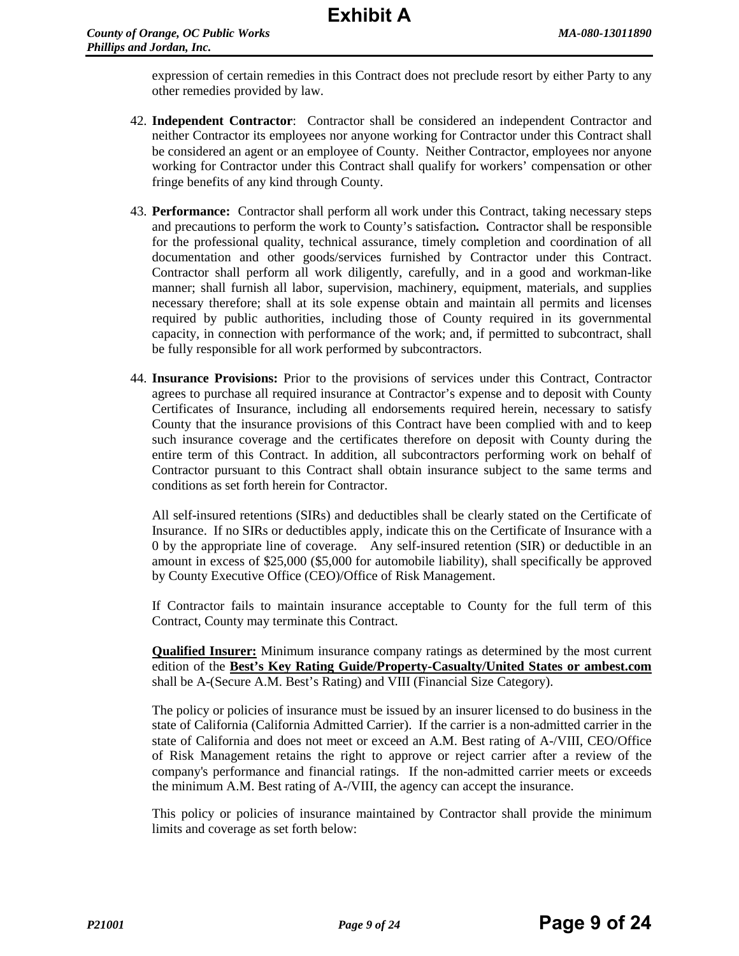expression of certain remedies in this Contract does not preclude resort by either Party to any other remedies provided by law.

- 42. **Independent Contractor**: Contractor shall be considered an independent Contractor and neither Contractor its employees nor anyone working for Contractor under this Contract shall be considered an agent or an employee of County. Neither Contractor, employees nor anyone working for Contractor under this Contract shall qualify for workers' compensation or other fringe benefits of any kind through County.
- 43. **Performance:** Contractor shall perform all work under this Contract, taking necessary steps and precautions to perform the work to County's satisfaction*.* Contractor shall be responsible for the professional quality, technical assurance, timely completion and coordination of all documentation and other goods/services furnished by Contractor under this Contract. Contractor shall perform all work diligently, carefully, and in a good and workman-like manner; shall furnish all labor, supervision, machinery, equipment, materials, and supplies necessary therefore; shall at its sole expense obtain and maintain all permits and licenses required by public authorities, including those of County required in its governmental capacity, in connection with performance of the work; and, if permitted to subcontract, shall be fully responsible for all work performed by subcontractors.
- 44. **Insurance Provisions:** Prior to the provisions of services under this Contract, Contractor agrees to purchase all required insurance at Contractor's expense and to deposit with County Certificates of Insurance, including all endorsements required herein, necessary to satisfy County that the insurance provisions of this Contract have been complied with and to keep such insurance coverage and the certificates therefore on deposit with County during the entire term of this Contract. In addition, all subcontractors performing work on behalf of Contractor pursuant to this Contract shall obtain insurance subject to the same terms and conditions as set forth herein for Contractor.

All self-insured retentions (SIRs) and deductibles shall be clearly stated on the Certificate of Insurance. If no SIRs or deductibles apply, indicate this on the Certificate of Insurance with a 0 by the appropriate line of coverage. Any self-insured retention (SIR) or deductible in an amount in excess of \$25,000 (\$5,000 for automobile liability), shall specifically be approved by County Executive Office (CEO)/Office of Risk Management.

If Contractor fails to maintain insurance acceptable to County for the full term of this Contract, County may terminate this Contract.

**Qualified Insurer:** Minimum insurance company ratings as determined by the most current edition of the **Best's Key Rating Guide/Property-Casualty/United States or ambest.com** shall be A-(Secure A.M. Best's Rating) and VIII (Financial Size Category).

The policy or policies of insurance must be issued by an insurer licensed to do business in the state of California (California Admitted Carrier). If the carrier is a non-admitted carrier in the state of California and does not meet or exceed an A.M. Best rating of A-/VIII, CEO/Office of Risk Management retains the right to approve or reject carrier after a review of the company's performance and financial ratings. If the non-admitted carrier meets or exceeds the minimum A.M. Best rating of A-/VIII, the agency can accept the insurance.

This policy or policies of insurance maintained by Contractor shall provide the minimum limits and coverage as set forth below: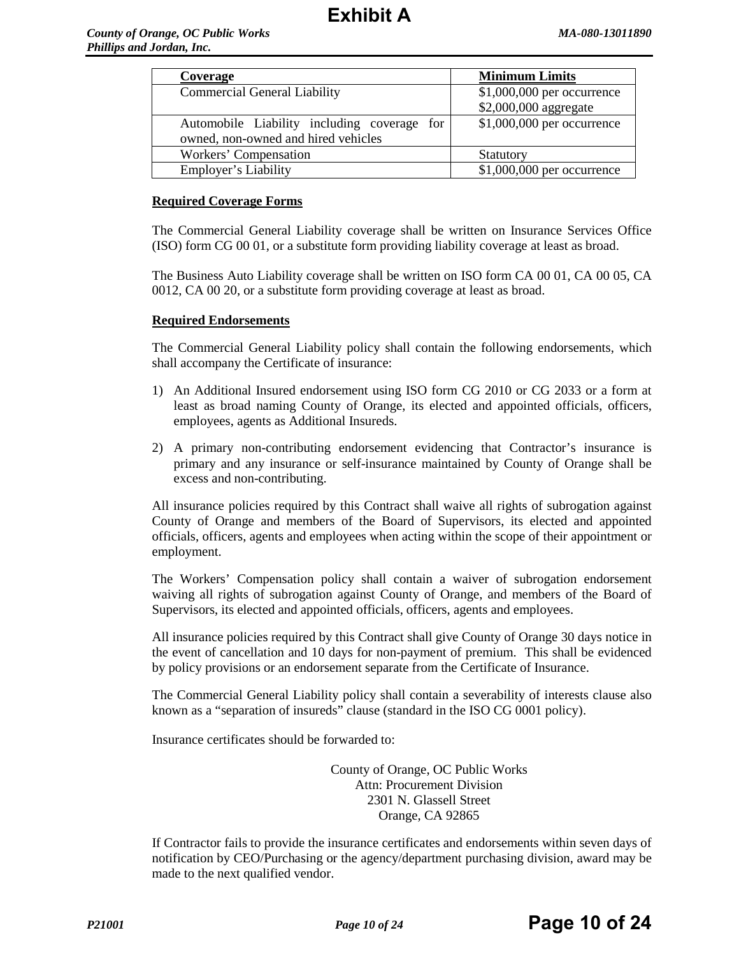| Coverage                                    | <b>Minimum Limits</b>      |
|---------------------------------------------|----------------------------|
| <b>Commercial General Liability</b>         | \$1,000,000 per occurrence |
|                                             | \$2,000,000 aggregate      |
| Automobile Liability including coverage for | \$1,000,000 per occurrence |
| owned, non-owned and hired vehicles         |                            |
| Workers' Compensation                       | <b>Statutory</b>           |
| Employer's Liability                        | \$1,000,000 per occurrence |

#### **Required Coverage Forms**

The Commercial General Liability coverage shall be written on Insurance Services Office (ISO) form CG 00 01, or a substitute form providing liability coverage at least as broad.

The Business Auto Liability coverage shall be written on ISO form CA 00 01, CA 00 05, CA 0012, CA 00 20, or a substitute form providing coverage at least as broad.

#### **Required Endorsements**

The Commercial General Liability policy shall contain the following endorsements, which shall accompany the Certificate of insurance:

- 1) An Additional Insured endorsement using ISO form CG 2010 or CG 2033 or a form at least as broad naming County of Orange, its elected and appointed officials, officers, employees, agents as Additional Insureds.
- 2) A primary non-contributing endorsement evidencing that Contractor's insurance is primary and any insurance or self-insurance maintained by County of Orange shall be excess and non-contributing.

All insurance policies required by this Contract shall waive all rights of subrogation against County of Orange and members of the Board of Supervisors, its elected and appointed officials, officers, agents and employees when acting within the scope of their appointment or employment.

The Workers' Compensation policy shall contain a waiver of subrogation endorsement waiving all rights of subrogation against County of Orange, and members of the Board of Supervisors, its elected and appointed officials, officers, agents and employees.

All insurance policies required by this Contract shall give County of Orange 30 days notice in the event of cancellation and 10 days for non-payment of premium. This shall be evidenced by policy provisions or an endorsement separate from the Certificate of Insurance.

The Commercial General Liability policy shall contain a severability of interests clause also known as a "separation of insureds" clause (standard in the ISO CG 0001 policy).

Insurance certificates should be forwarded to:

County of Orange, OC Public Works Attn: Procurement Division 2301 N. Glassell Street Orange, CA 92865

If Contractor fails to provide the insurance certificates and endorsements within seven days of notification by CEO/Purchasing or the agency/department purchasing division, award may be made to the next qualified vendor.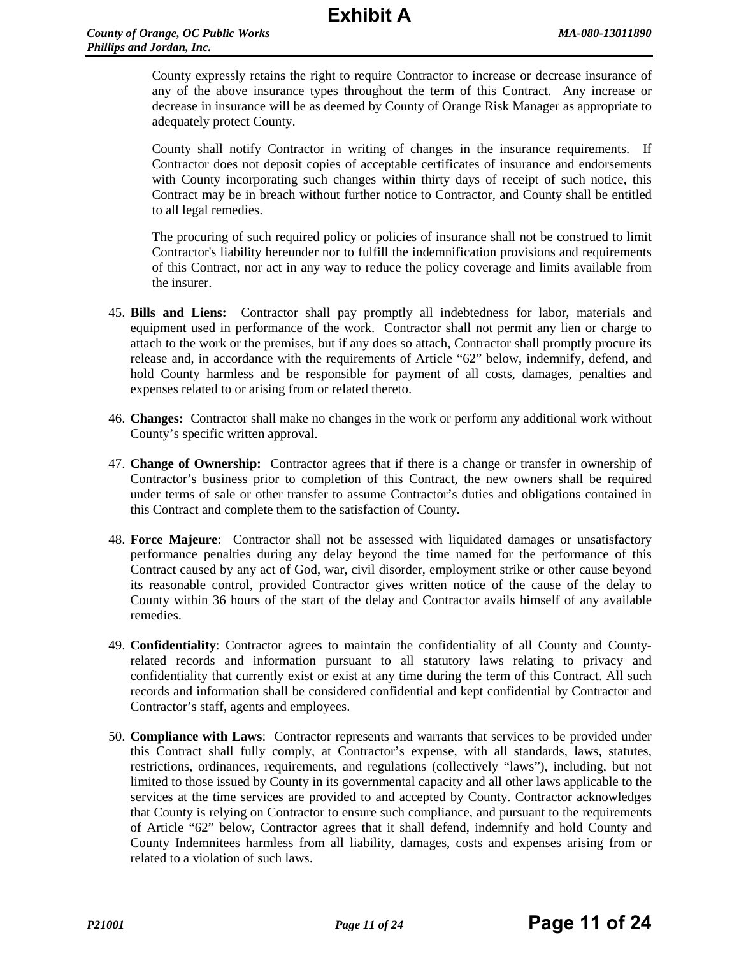County expressly retains the right to require Contractor to increase or decrease insurance of any of the above insurance types throughout the term of this Contract. Any increase or decrease in insurance will be as deemed by County of Orange Risk Manager as appropriate to adequately protect County.

County shall notify Contractor in writing of changes in the insurance requirements. If Contractor does not deposit copies of acceptable certificates of insurance and endorsements with County incorporating such changes within thirty days of receipt of such notice, this Contract may be in breach without further notice to Contractor, and County shall be entitled to all legal remedies.

The procuring of such required policy or policies of insurance shall not be construed to limit Contractor's liability hereunder nor to fulfill the indemnification provisions and requirements of this Contract, nor act in any way to reduce the policy coverage and limits available from the insurer.

- 45. **Bills and Liens:** Contractor shall pay promptly all indebtedness for labor, materials and equipment used in performance of the work. Contractor shall not permit any lien or charge to attach to the work or the premises, but if any does so attach, Contractor shall promptly procure its release and, in accordance with the requirements of Article "62" below, indemnify, defend, and hold County harmless and be responsible for payment of all costs, damages, penalties and expenses related to or arising from or related thereto.
- 46. **Changes:** Contractor shall make no changes in the work or perform any additional work without County's specific written approval.
- 47. **Change of Ownership:** Contractor agrees that if there is a change or transfer in ownership of Contractor's business prior to completion of this Contract, the new owners shall be required under terms of sale or other transfer to assume Contractor's duties and obligations contained in this Contract and complete them to the satisfaction of County.
- 48. **Force Majeure**: Contractor shall not be assessed with liquidated damages or unsatisfactory performance penalties during any delay beyond the time named for the performance of this Contract caused by any act of God, war, civil disorder, employment strike or other cause beyond its reasonable control, provided Contractor gives written notice of the cause of the delay to County within 36 hours of the start of the delay and Contractor avails himself of any available remedies.
- 49. **Confidentiality**: Contractor agrees to maintain the confidentiality of all County and Countyrelated records and information pursuant to all statutory laws relating to privacy and confidentiality that currently exist or exist at any time during the term of this Contract. All such records and information shall be considered confidential and kept confidential by Contractor and Contractor's staff, agents and employees.
- 50. **Compliance with Laws**: Contractor represents and warrants that services to be provided under this Contract shall fully comply, at Contractor's expense, with all standards, laws, statutes, restrictions, ordinances, requirements, and regulations (collectively "laws"), including, but not limited to those issued by County in its governmental capacity and all other laws applicable to the services at the time services are provided to and accepted by County. Contractor acknowledges that County is relying on Contractor to ensure such compliance, and pursuant to the requirements of Article "62" below, Contractor agrees that it shall defend, indemnify and hold County and County Indemnitees harmless from all liability, damages, costs and expenses arising from or related to a violation of such laws.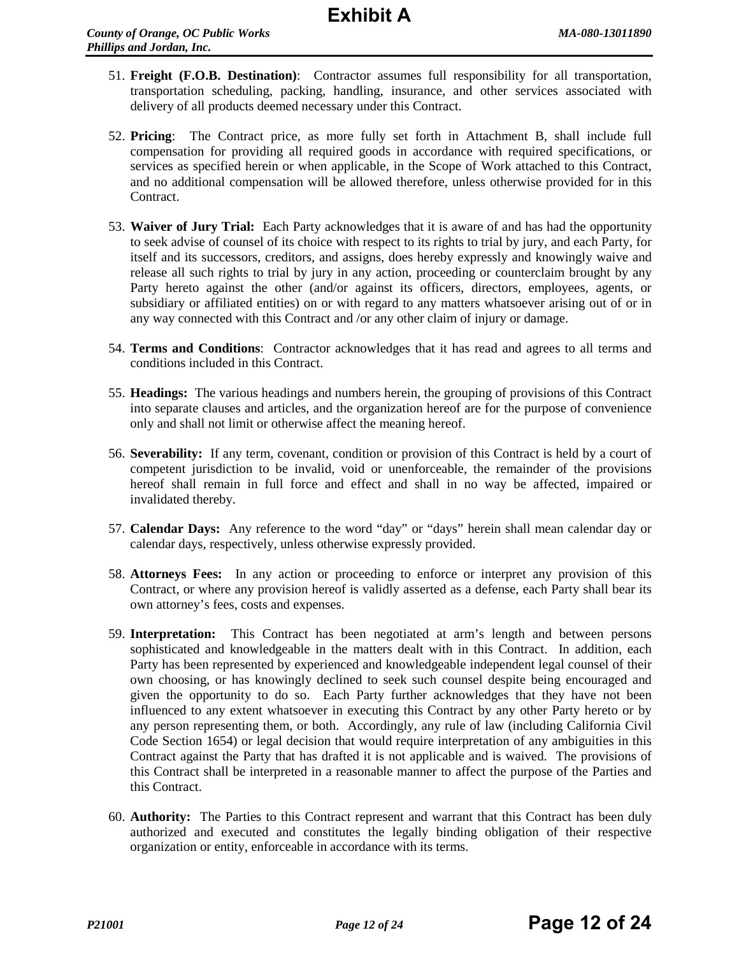- 51. **Freight (F.O.B. Destination)**: Contractor assumes full responsibility for all transportation, transportation scheduling, packing, handling, insurance, and other services associated with delivery of all products deemed necessary under this Contract.
- 52. **Pricing**: The Contract price, as more fully set forth in Attachment B, shall include full compensation for providing all required goods in accordance with required specifications, or services as specified herein or when applicable, in the Scope of Work attached to this Contract, and no additional compensation will be allowed therefore, unless otherwise provided for in this Contract.
- 53. **Waiver of Jury Trial:** Each Party acknowledges that it is aware of and has had the opportunity to seek advise of counsel of its choice with respect to its rights to trial by jury, and each Party, for itself and its successors, creditors, and assigns, does hereby expressly and knowingly waive and release all such rights to trial by jury in any action, proceeding or counterclaim brought by any Party hereto against the other (and/or against its officers, directors, employees, agents, or subsidiary or affiliated entities) on or with regard to any matters whatsoever arising out of or in any way connected with this Contract and /or any other claim of injury or damage.
- 54. **Terms and Conditions**: Contractor acknowledges that it has read and agrees to all terms and conditions included in this Contract.
- 55. **Headings:** The various headings and numbers herein, the grouping of provisions of this Contract into separate clauses and articles, and the organization hereof are for the purpose of convenience only and shall not limit or otherwise affect the meaning hereof.
- 56. **Severability:** If any term, covenant, condition or provision of this Contract is held by a court of competent jurisdiction to be invalid, void or unenforceable, the remainder of the provisions hereof shall remain in full force and effect and shall in no way be affected, impaired or invalidated thereby.
- 57. **Calendar Days:** Any reference to the word "day" or "days" herein shall mean calendar day or calendar days, respectively, unless otherwise expressly provided.
- 58. **Attorneys Fees:** In any action or proceeding to enforce or interpret any provision of this Contract, or where any provision hereof is validly asserted as a defense, each Party shall bear its own attorney's fees, costs and expenses.
- 59. **Interpretation:** This Contract has been negotiated at arm's length and between persons sophisticated and knowledgeable in the matters dealt with in this Contract. In addition, each Party has been represented by experienced and knowledgeable independent legal counsel of their own choosing, or has knowingly declined to seek such counsel despite being encouraged and given the opportunity to do so. Each Party further acknowledges that they have not been influenced to any extent whatsoever in executing this Contract by any other Party hereto or by any person representing them, or both. Accordingly, any rule of law (including California Civil Code Section 1654) or legal decision that would require interpretation of any ambiguities in this Contract against the Party that has drafted it is not applicable and is waived. The provisions of this Contract shall be interpreted in a reasonable manner to affect the purpose of the Parties and this Contract.
- 60. **Authority:** The Parties to this Contract represent and warrant that this Contract has been duly authorized and executed and constitutes the legally binding obligation of their respective organization or entity, enforceable in accordance with its terms.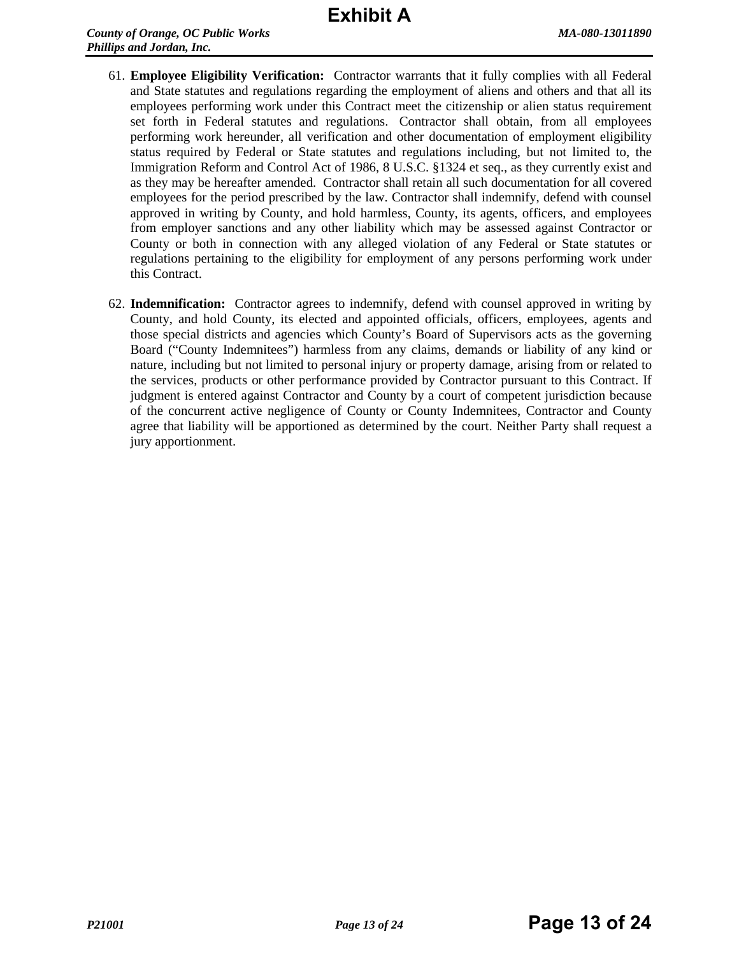# **Exhibit A**

- 61. **Employee Eligibility Verification:** Contractor warrants that it fully complies with all Federal and State statutes and regulations regarding the employment of aliens and others and that all its employees performing work under this Contract meet the citizenship or alien status requirement set forth in Federal statutes and regulations. Contractor shall obtain, from all employees performing work hereunder, all verification and other documentation of employment eligibility status required by Federal or State statutes and regulations including, but not limited to, the Immigration Reform and Control Act of 1986, 8 U.S.C. §1324 et seq., as they currently exist and as they may be hereafter amended. Contractor shall retain all such documentation for all covered employees for the period prescribed by the law. Contractor shall indemnify, defend with counsel approved in writing by County, and hold harmless, County, its agents, officers, and employees from employer sanctions and any other liability which may be assessed against Contractor or County or both in connection with any alleged violation of any Federal or State statutes or regulations pertaining to the eligibility for employment of any persons performing work under this Contract.
- 62. **Indemnification:** Contractor agrees to indemnify, defend with counsel approved in writing by County, and hold County, its elected and appointed officials, officers, employees, agents and those special districts and agencies which County's Board of Supervisors acts as the governing Board ("County Indemnitees") harmless from any claims, demands or liability of any kind or nature, including but not limited to personal injury or property damage, arising from or related to the services, products or other performance provided by Contractor pursuant to this Contract. If judgment is entered against Contractor and County by a court of competent jurisdiction because of the concurrent active negligence of County or County Indemnitees, Contractor and County agree that liability will be apportioned as determined by the court. Neither Party shall request a jury apportionment.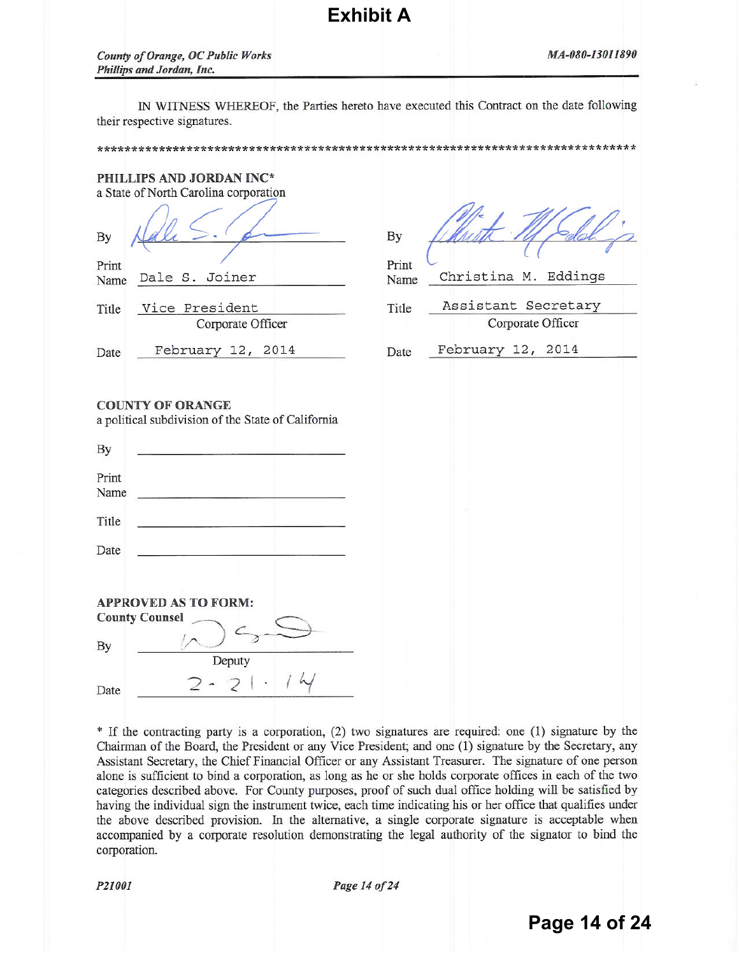IN WITNESS WHEREOF, the Parties hereto have executed this Contract on the date following their respective signatures.

**Exhibit A**

|                                      | PHILLIPS AND JORDAN INC*<br>a State of North Carolina corporation             |                              |                                             |
|--------------------------------------|-------------------------------------------------------------------------------|------------------------------|---------------------------------------------|
| By<br>Print<br>Name<br>Title         | Dale S. Joiner<br>Vice President                                              | By<br>Print<br>Name<br>Title | Christina M. Eddings<br>Assistant Secretary |
|                                      | Corporate Officer                                                             |                              | Corporate Officer                           |
| Date                                 | February 12, 2014                                                             | Date                         | February 12, 2014                           |
| By<br>Print<br>Name<br>Title<br>Date | <b>COUNTY OF ORANGE</b><br>a political subdivision of the State of California |                              |                                             |
| <b>County Counsel</b><br>By          | <b>APPROVED AS TO FORM:</b><br>Deputy                                         |                              |                                             |
| Date                                 |                                                                               |                              |                                             |

\* If the contracting party is a corporation, (2) two signatures are required: one (1) signature by the Chairman of the Board, the President or any Vice President; and one (1) signature by the Secretary, any Assistant Secretary, the Chief Financial Officer or any Assistant Treasurer. The signature of one person alone is sufficient to bind a corporation, as long as he or she holds corporate offices in each of the two categories described above. For County purposes, proof of such dual office holding will be satisfied by having the individual sign the instrument twice, each time indicating his or her office that qualifies under the above described provision. In the alternative, a single corporate signature is acceptable when accompanied by a corporate resolution demonstrating the legal authority of the signator to bind the corporation.

P21001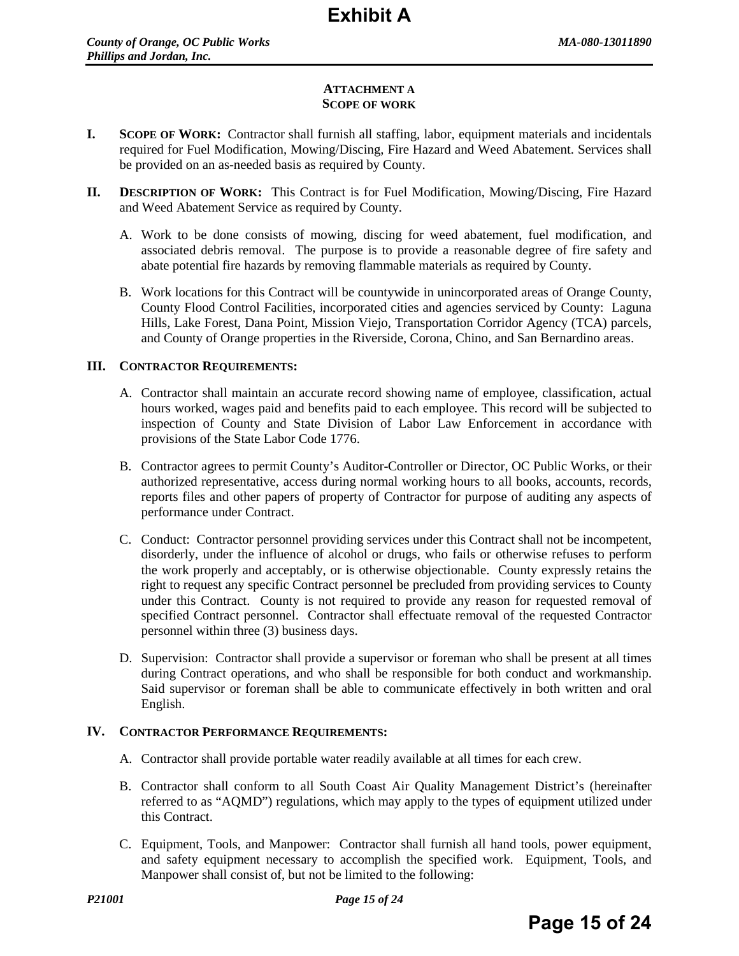#### **ATTACHMENT A SCOPE OF WORK**

- **I. SCOPE OF WORK:** Contractor shall furnish all staffing, labor, equipment materials and incidentals required for Fuel Modification, Mowing/Discing, Fire Hazard and Weed Abatement. Services shall be provided on an as-needed basis as required by County.
- **II. DESCRIPTION OF WORK:** This Contract is for Fuel Modification, Mowing/Discing, Fire Hazard and Weed Abatement Service as required by County.
	- A. Work to be done consists of mowing, discing for weed abatement, fuel modification, and associated debris removal. The purpose is to provide a reasonable degree of fire safety and abate potential fire hazards by removing flammable materials as required by County.
	- B. Work locations for this Contract will be countywide in unincorporated areas of Orange County, County Flood Control Facilities, incorporated cities and agencies serviced by County: Laguna Hills, Lake Forest, Dana Point, Mission Viejo, Transportation Corridor Agency (TCA) parcels, and County of Orange properties in the Riverside, Corona, Chino, and San Bernardino areas.

#### **III. CONTRACTOR REQUIREMENTS:**

- A. Contractor shall maintain an accurate record showing name of employee, classification, actual hours worked, wages paid and benefits paid to each employee. This record will be subjected to inspection of County and State Division of Labor Law Enforcement in accordance with provisions of the State Labor Code 1776.
- B. Contractor agrees to permit County's Auditor-Controller or Director, OC Public Works, or their authorized representative, access during normal working hours to all books, accounts, records, reports files and other papers of property of Contractor for purpose of auditing any aspects of performance under Contract.
- C. Conduct: Contractor personnel providing services under this Contract shall not be incompetent, disorderly, under the influence of alcohol or drugs, who fails or otherwise refuses to perform the work properly and acceptably, or is otherwise objectionable. County expressly retains the right to request any specific Contract personnel be precluded from providing services to County under this Contract. County is not required to provide any reason for requested removal of specified Contract personnel. Contractor shall effectuate removal of the requested Contractor personnel within three (3) business days.
- D. Supervision: Contractor shall provide a supervisor or foreman who shall be present at all times during Contract operations, and who shall be responsible for both conduct and workmanship. Said supervisor or foreman shall be able to communicate effectively in both written and oral English.

#### **IV. CONTRACTOR PERFORMANCE REQUIREMENTS:**

- A. Contractor shall provide portable water readily available at all times for each crew.
- B. Contractor shall conform to all South Coast Air Quality Management District's (hereinafter referred to as "AQMD") regulations, which may apply to the types of equipment utilized under this Contract.
- C. Equipment, Tools, and Manpower: Contractor shall furnish all hand tools, power equipment, and safety equipment necessary to accomplish the specified work. Equipment, Tools, and Manpower shall consist of, but not be limited to the following: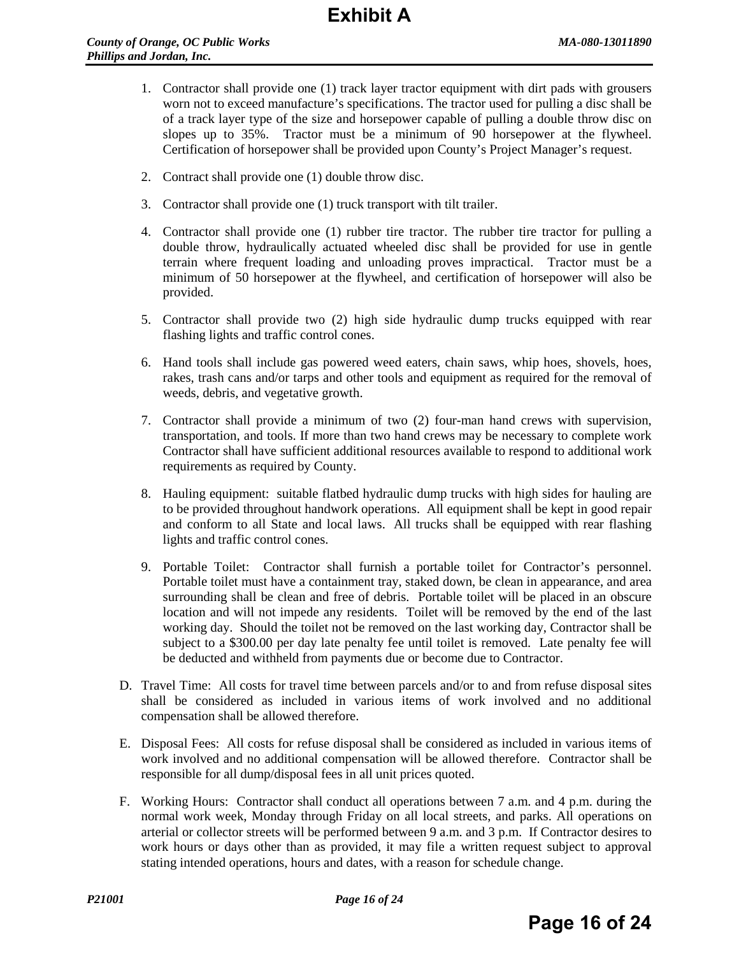- 1. Contractor shall provide one (1) track layer tractor equipment with dirt pads with grousers worn not to exceed manufacture's specifications. The tractor used for pulling a disc shall be of a track layer type of the size and horsepower capable of pulling a double throw disc on slopes up to 35%. Tractor must be a minimum of 90 horsepower at the flywheel. Certification of horsepower shall be provided upon County's Project Manager's request.
- 2. Contract shall provide one (1) double throw disc.
- 3. Contractor shall provide one (1) truck transport with tilt trailer.
- 4. Contractor shall provide one (1) rubber tire tractor. The rubber tire tractor for pulling a double throw, hydraulically actuated wheeled disc shall be provided for use in gentle terrain where frequent loading and unloading proves impractical. Tractor must be a minimum of 50 horsepower at the flywheel, and certification of horsepower will also be provided.
- 5. Contractor shall provide two (2) high side hydraulic dump trucks equipped with rear flashing lights and traffic control cones.
- 6. Hand tools shall include gas powered weed eaters, chain saws, whip hoes, shovels, hoes, rakes, trash cans and/or tarps and other tools and equipment as required for the removal of weeds, debris, and vegetative growth.
- 7. Contractor shall provide a minimum of two (2) four-man hand crews with supervision, transportation, and tools. If more than two hand crews may be necessary to complete work Contractor shall have sufficient additional resources available to respond to additional work requirements as required by County.
- 8. Hauling equipment: suitable flatbed hydraulic dump trucks with high sides for hauling are to be provided throughout handwork operations. All equipment shall be kept in good repair and conform to all State and local laws. All trucks shall be equipped with rear flashing lights and traffic control cones.
- 9. Portable Toilet: Contractor shall furnish a portable toilet for Contractor's personnel. Portable toilet must have a containment tray, staked down, be clean in appearance, and area surrounding shall be clean and free of debris. Portable toilet will be placed in an obscure location and will not impede any residents. Toilet will be removed by the end of the last working day. Should the toilet not be removed on the last working day, Contractor shall be subject to a \$300.00 per day late penalty fee until toilet is removed. Late penalty fee will be deducted and withheld from payments due or become due to Contractor.
- D. Travel Time: All costs for travel time between parcels and/or to and from refuse disposal sites shall be considered as included in various items of work involved and no additional compensation shall be allowed therefore.
- E. Disposal Fees: All costs for refuse disposal shall be considered as included in various items of work involved and no additional compensation will be allowed therefore. Contractor shall be responsible for all dump/disposal fees in all unit prices quoted.
- F. Working Hours: Contractor shall conduct all operations between 7 a.m. and 4 p.m. during the normal work week, Monday through Friday on all local streets, and parks. All operations on arterial or collector streets will be performed between 9 a.m. and 3 p.m. If Contractor desires to work hours or days other than as provided, it may file a written request subject to approval stating intended operations, hours and dates, with a reason for schedule change.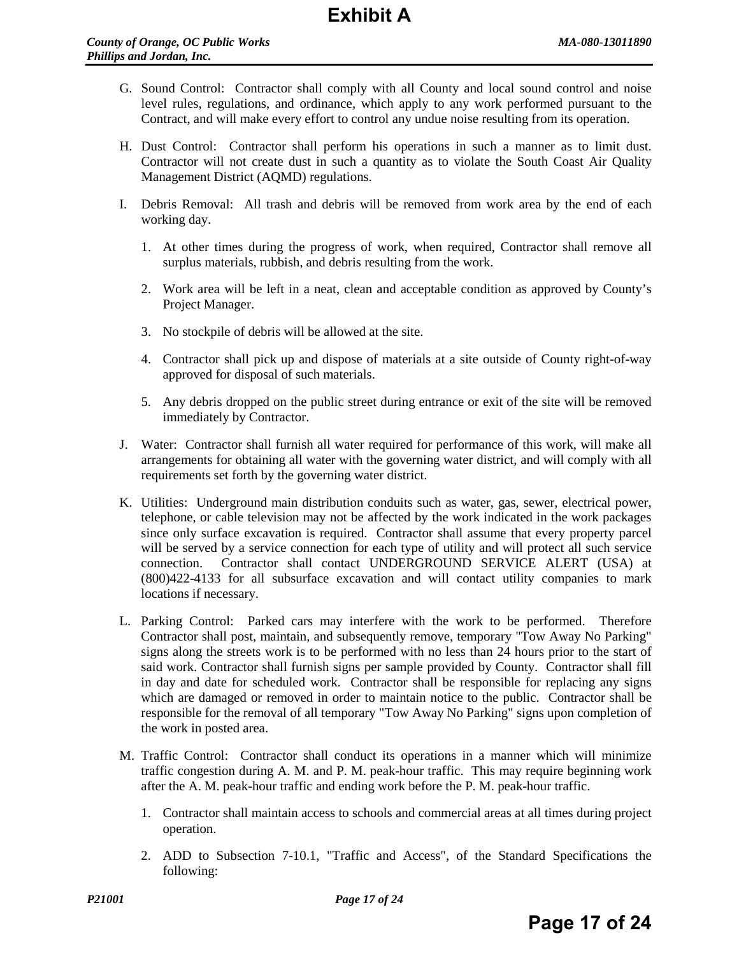- G. Sound Control: Contractor shall comply with all County and local sound control and noise level rules, regulations, and ordinance, which apply to any work performed pursuant to the Contract, and will make every effort to control any undue noise resulting from its operation.
- H. Dust Control: Contractor shall perform his operations in such a manner as to limit dust. Contractor will not create dust in such a quantity as to violate the South Coast Air Quality Management District (AQMD) regulations.
- I. Debris Removal: All trash and debris will be removed from work area by the end of each working day.
	- 1. At other times during the progress of work, when required, Contractor shall remove all surplus materials, rubbish, and debris resulting from the work.
	- 2. Work area will be left in a neat, clean and acceptable condition as approved by County's Project Manager.
	- 3. No stockpile of debris will be allowed at the site.
	- 4. Contractor shall pick up and dispose of materials at a site outside of County right-of-way approved for disposal of such materials.
	- 5. Any debris dropped on the public street during entrance or exit of the site will be removed immediately by Contractor.
- J. Water: Contractor shall furnish all water required for performance of this work, will make all arrangements for obtaining all water with the governing water district, and will comply with all requirements set forth by the governing water district.
- K. Utilities: Underground main distribution conduits such as water, gas, sewer, electrical power, telephone, or cable television may not be affected by the work indicated in the work packages since only surface excavation is required. Contractor shall assume that every property parcel will be served by a service connection for each type of utility and will protect all such service connection. Contractor shall contact UNDERGROUND SERVICE ALERT (USA) at (800)422-4133 for all subsurface excavation and will contact utility companies to mark locations if necessary.
- L. Parking Control: Parked cars may interfere with the work to be performed. Therefore Contractor shall post, maintain, and subsequently remove, temporary "Tow Away No Parking" signs along the streets work is to be performed with no less than 24 hours prior to the start of said work. Contractor shall furnish signs per sample provided by County. Contractor shall fill in day and date for scheduled work. Contractor shall be responsible for replacing any signs which are damaged or removed in order to maintain notice to the public. Contractor shall be responsible for the removal of all temporary "Tow Away No Parking" signs upon completion of the work in posted area.
- M. Traffic Control: Contractor shall conduct its operations in a manner which will minimize traffic congestion during A. M. and P. M. peak-hour traffic. This may require beginning work after the A. M. peak-hour traffic and ending work before the P. M. peak-hour traffic.
	- 1. Contractor shall maintain access to schools and commercial areas at all times during project operation.
	- 2. ADD to Subsection 7-10.1, "Traffic and Access", of the Standard Specifications the following: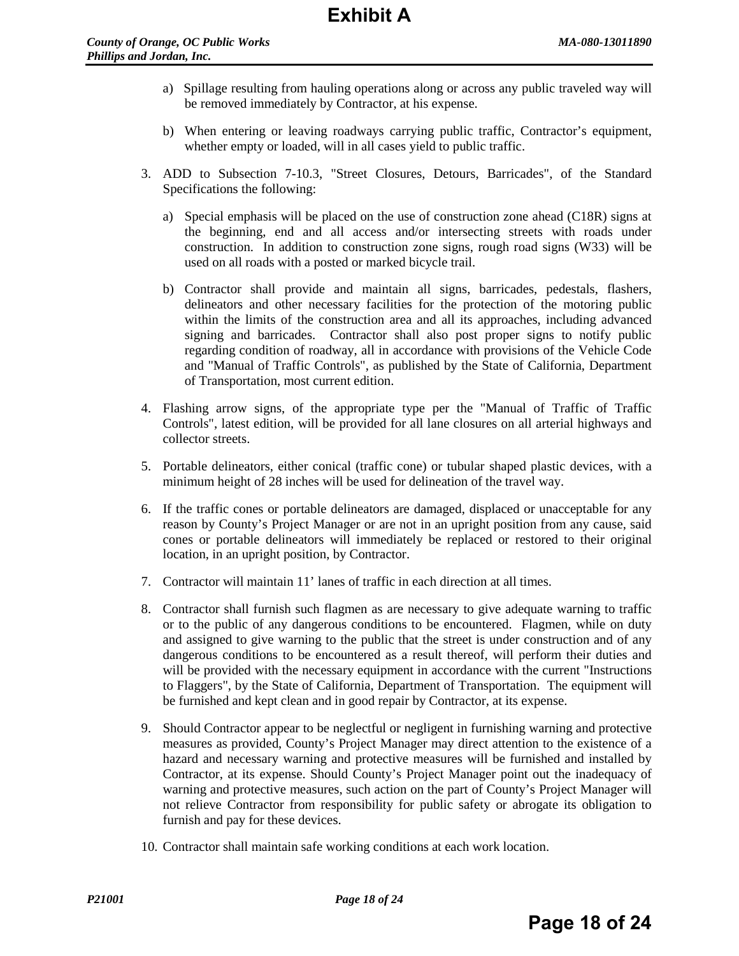- a) Spillage resulting from hauling operations along or across any public traveled way will be removed immediately by Contractor, at his expense.
- b) When entering or leaving roadways carrying public traffic, Contractor's equipment, whether empty or loaded, will in all cases yield to public traffic.
- 3. ADD to Subsection 7-10.3, "Street Closures, Detours, Barricades", of the Standard Specifications the following:
	- a) Special emphasis will be placed on the use of construction zone ahead (C18R) signs at the beginning, end and all access and/or intersecting streets with roads under construction. In addition to construction zone signs, rough road signs (W33) will be used on all roads with a posted or marked bicycle trail.
	- b) Contractor shall provide and maintain all signs, barricades, pedestals, flashers, delineators and other necessary facilities for the protection of the motoring public within the limits of the construction area and all its approaches, including advanced signing and barricades. Contractor shall also post proper signs to notify public regarding condition of roadway, all in accordance with provisions of the Vehicle Code and "Manual of Traffic Controls", as published by the State of California, Department of Transportation, most current edition.
- 4. Flashing arrow signs, of the appropriate type per the "Manual of Traffic of Traffic Controls", latest edition, will be provided for all lane closures on all arterial highways and collector streets.
- 5. Portable delineators, either conical (traffic cone) or tubular shaped plastic devices, with a minimum height of 28 inches will be used for delineation of the travel way.
- 6. If the traffic cones or portable delineators are damaged, displaced or unacceptable for any reason by County's Project Manager or are not in an upright position from any cause, said cones or portable delineators will immediately be replaced or restored to their original location, in an upright position, by Contractor.
- 7. Contractor will maintain 11' lanes of traffic in each direction at all times.
- 8. Contractor shall furnish such flagmen as are necessary to give adequate warning to traffic or to the public of any dangerous conditions to be encountered. Flagmen, while on duty and assigned to give warning to the public that the street is under construction and of any dangerous conditions to be encountered as a result thereof, will perform their duties and will be provided with the necessary equipment in accordance with the current "Instructions to Flaggers", by the State of California, Department of Transportation. The equipment will be furnished and kept clean and in good repair by Contractor, at its expense.
- 9. Should Contractor appear to be neglectful or negligent in furnishing warning and protective measures as provided, County's Project Manager may direct attention to the existence of a hazard and necessary warning and protective measures will be furnished and installed by Contractor, at its expense. Should County's Project Manager point out the inadequacy of warning and protective measures, such action on the part of County's Project Manager will not relieve Contractor from responsibility for public safety or abrogate its obligation to furnish and pay for these devices.
- 10. Contractor shall maintain safe working conditions at each work location.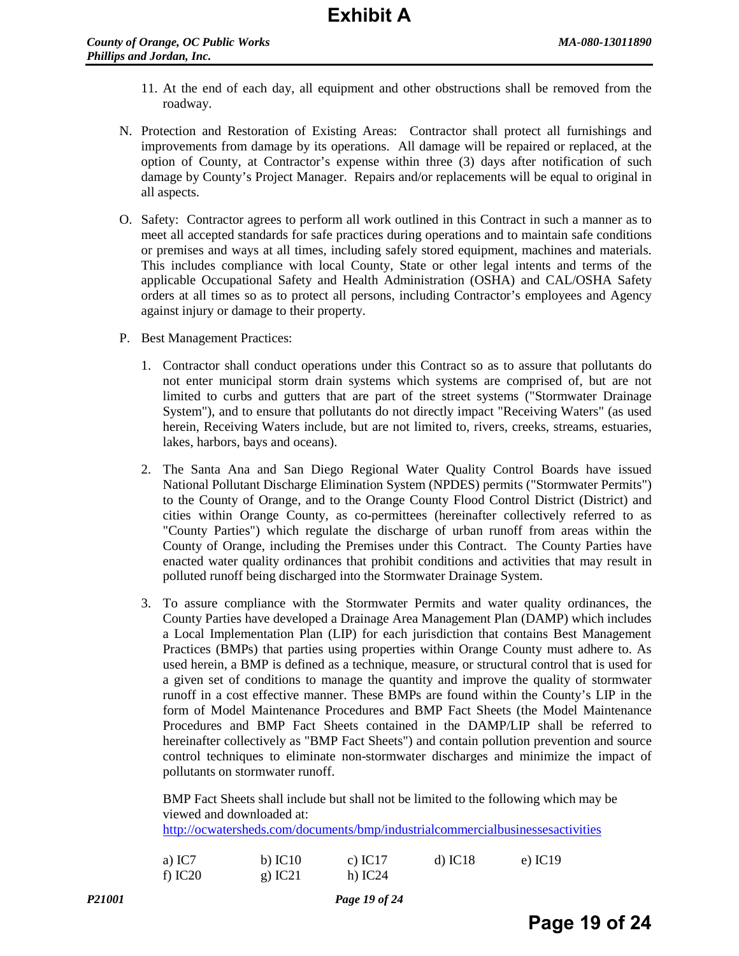- 11. At the end of each day, all equipment and other obstructions shall be removed from the roadway.
- N. Protection and Restoration of Existing Areas: Contractor shall protect all furnishings and improvements from damage by its operations. All damage will be repaired or replaced, at the option of County, at Contractor's expense within three (3) days after notification of such damage by County's Project Manager. Repairs and/or replacements will be equal to original in all aspects.
- O. Safety: Contractor agrees to perform all work outlined in this Contract in such a manner as to meet all accepted standards for safe practices during operations and to maintain safe conditions or premises and ways at all times, including safely stored equipment, machines and materials. This includes compliance with local County, State or other legal intents and terms of the applicable Occupational Safety and Health Administration (OSHA) and CAL/OSHA Safety orders at all times so as to protect all persons, including Contractor's employees and Agency against injury or damage to their property.
- P. Best Management Practices:
	- 1. Contractor shall conduct operations under this Contract so as to assure that pollutants do not enter municipal storm drain systems which systems are comprised of, but are not limited to curbs and gutters that are part of the street systems ("Stormwater Drainage System"), and to ensure that pollutants do not directly impact "Receiving Waters" (as used herein, Receiving Waters include, but are not limited to, rivers, creeks, streams, estuaries, lakes, harbors, bays and oceans).
	- 2. The Santa Ana and San Diego Regional Water Quality Control Boards have issued National Pollutant Discharge Elimination System (NPDES) permits ("Stormwater Permits") to the County of Orange, and to the Orange County Flood Control District (District) and cities within Orange County, as co-permittees (hereinafter collectively referred to as "County Parties") which regulate the discharge of urban runoff from areas within the County of Orange, including the Premises under this Contract. The County Parties have enacted water quality ordinances that prohibit conditions and activities that may result in polluted runoff being discharged into the Stormwater Drainage System.
	- 3. To assure compliance with the Stormwater Permits and water quality ordinances, the County Parties have developed a Drainage Area Management Plan (DAMP) which includes a Local Implementation Plan (LIP) for each jurisdiction that contains Best Management Practices (BMPs) that parties using properties within Orange County must adhere to. As used herein, a BMP is defined as a technique, measure, or structural control that is used for a given set of conditions to manage the quantity and improve the quality of stormwater runoff in a cost effective manner. These BMPs are found within the County's LIP in the form of Model Maintenance Procedures and BMP Fact Sheets (the Model Maintenance Procedures and BMP Fact Sheets contained in the DAMP/LIP shall be referred to hereinafter collectively as "BMP Fact Sheets") and contain pollution prevention and source control techniques to eliminate non-stormwater discharges and minimize the impact of pollutants on stormwater runoff.

BMP Fact Sheets shall include but shall not be limited to the following which may be viewed and downloaded at: <http://ocwatersheds.com/documents/bmp/industrialcommercialbusinessesactivities>

| a) $IC7$  | $b)$ IC10 | c) IC17   | $d)$ IC18 | e) IC19 |
|-----------|-----------|-----------|-----------|---------|
| f) $IC20$ | $g)$ IC21 | h) $IC24$ |           |         |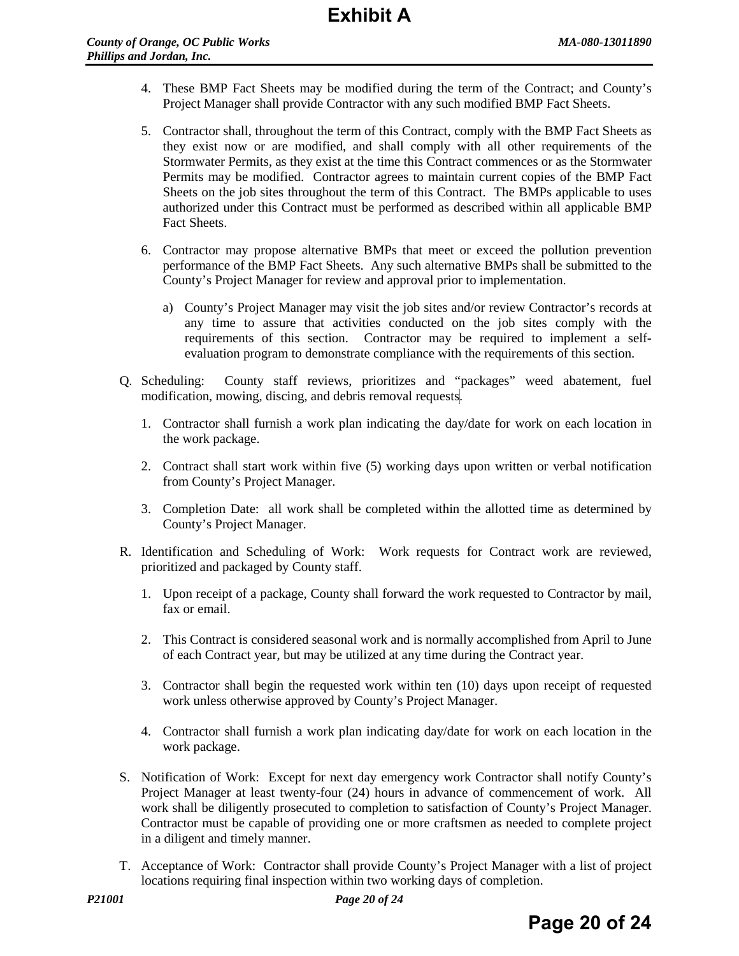- 4. These BMP Fact Sheets may be modified during the term of the Contract; and County's Project Manager shall provide Contractor with any such modified BMP Fact Sheets.
- 5. Contractor shall, throughout the term of this Contract, comply with the BMP Fact Sheets as they exist now or are modified, and shall comply with all other requirements of the Stormwater Permits, as they exist at the time this Contract commences or as the Stormwater Permits may be modified. Contractor agrees to maintain current copies of the BMP Fact Sheets on the job sites throughout the term of this Contract. The BMPs applicable to uses authorized under this Contract must be performed as described within all applicable BMP Fact Sheets.
- 6. Contractor may propose alternative BMPs that meet or exceed the pollution prevention performance of the BMP Fact Sheets. Any such alternative BMPs shall be submitted to the County's Project Manager for review and approval prior to implementation.
	- a) County's Project Manager may visit the job sites and/or review Contractor's records at any time to assure that activities conducted on the job sites comply with the requirements of this section. Contractor may be required to implement a selfevaluation program to demonstrate compliance with the requirements of this section.
- Q. Scheduling: County staff reviews, prioritizes and "packages" weed abatement, fuel modification, mowing, discing, and debris removal requests.
	- 1. Contractor shall furnish a work plan indicating the day/date for work on each location in the work package.
	- 2. Contract shall start work within five (5) working days upon written or verbal notification from County's Project Manager.
	- 3. Completion Date: all work shall be completed within the allotted time as determined by County's Project Manager.
- R. Identification and Scheduling of Work: Work requests for Contract work are reviewed, prioritized and packaged by County staff.
	- 1. Upon receipt of a package, County shall forward the work requested to Contractor by mail, fax or email.
	- 2. This Contract is considered seasonal work and is normally accomplished from April to June of each Contract year, but may be utilized at any time during the Contract year.
	- 3. Contractor shall begin the requested work within ten (10) days upon receipt of requested work unless otherwise approved by County's Project Manager.
	- 4. Contractor shall furnish a work plan indicating day/date for work on each location in the work package.
- S. Notification of Work: Except for next day emergency work Contractor shall notify County's Project Manager at least twenty-four (24) hours in advance of commencement of work. All work shall be diligently prosecuted to completion to satisfaction of County's Project Manager. Contractor must be capable of providing one or more craftsmen as needed to complete project in a diligent and timely manner.
- T. Acceptance of Work: Contractor shall provide County's Project Manager with a list of project locations requiring final inspection within two working days of completion.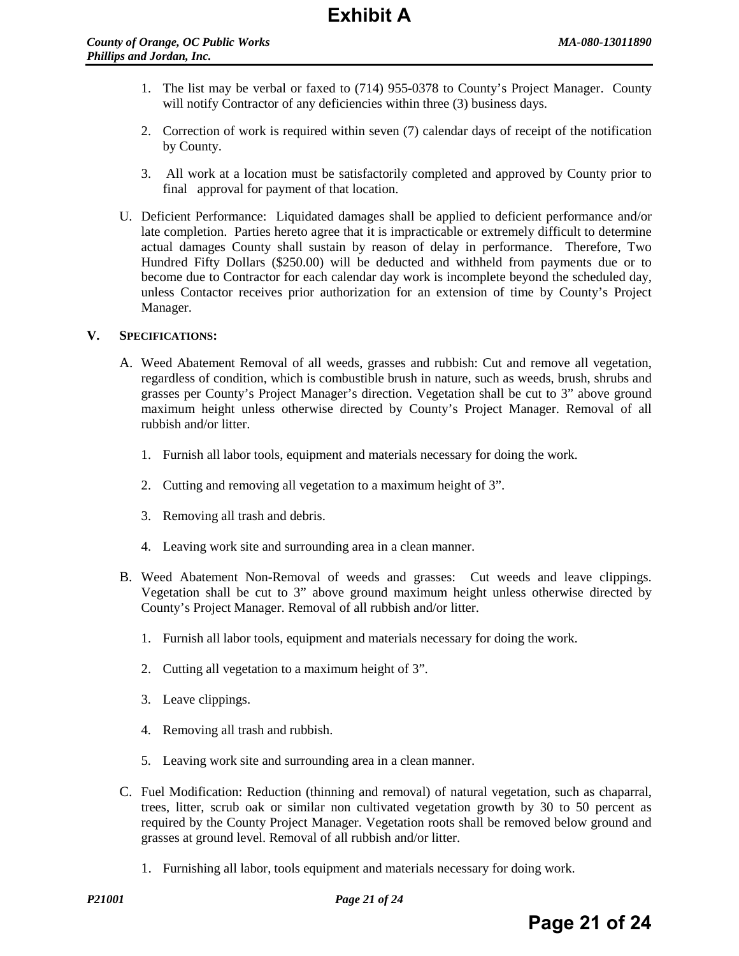- 1. The list may be verbal or faxed to (714) 955-0378 to County's Project Manager. County will notify Contractor of any deficiencies within three (3) business days.
- 2. Correction of work is required within seven (7) calendar days of receipt of the notification by County.
- 3. All work at a location must be satisfactorily completed and approved by County prior to final approval for payment of that location.
- U. Deficient Performance: Liquidated damages shall be applied to deficient performance and/or late completion. Parties hereto agree that it is impracticable or extremely difficult to determine actual damages County shall sustain by reason of delay in performance. Therefore, Two Hundred Fifty Dollars (\$250.00) will be deducted and withheld from payments due or to become due to Contractor for each calendar day work is incomplete beyond the scheduled day, unless Contactor receives prior authorization for an extension of time by County's Project Manager.

#### **V. SPECIFICATIONS:**

- A. Weed Abatement Removal of all weeds, grasses and rubbish: Cut and remove all vegetation, regardless of condition, which is combustible brush in nature, such as weeds, brush, shrubs and grasses per County's Project Manager's direction. Vegetation shall be cut to 3" above ground maximum height unless otherwise directed by County's Project Manager. Removal of all rubbish and/or litter.
	- 1. Furnish all labor tools, equipment and materials necessary for doing the work.
	- 2. Cutting and removing all vegetation to a maximum height of 3".
	- 3. Removing all trash and debris.
	- 4. Leaving work site and surrounding area in a clean manner.
- B. Weed Abatement Non-Removal of weeds and grasses: Cut weeds and leave clippings. Vegetation shall be cut to 3" above ground maximum height unless otherwise directed by County's Project Manager. Removal of all rubbish and/or litter.
	- 1. Furnish all labor tools, equipment and materials necessary for doing the work.
	- 2. Cutting all vegetation to a maximum height of 3".
	- 3. Leave clippings.
	- 4. Removing all trash and rubbish.
	- 5. Leaving work site and surrounding area in a clean manner.
- C. Fuel Modification: Reduction (thinning and removal) of natural vegetation, such as chaparral, trees, litter, scrub oak or similar non cultivated vegetation growth by 30 to 50 percent as required by the County Project Manager. Vegetation roots shall be removed below ground and grasses at ground level. Removal of all rubbish and/or litter.
	- 1. Furnishing all labor, tools equipment and materials necessary for doing work.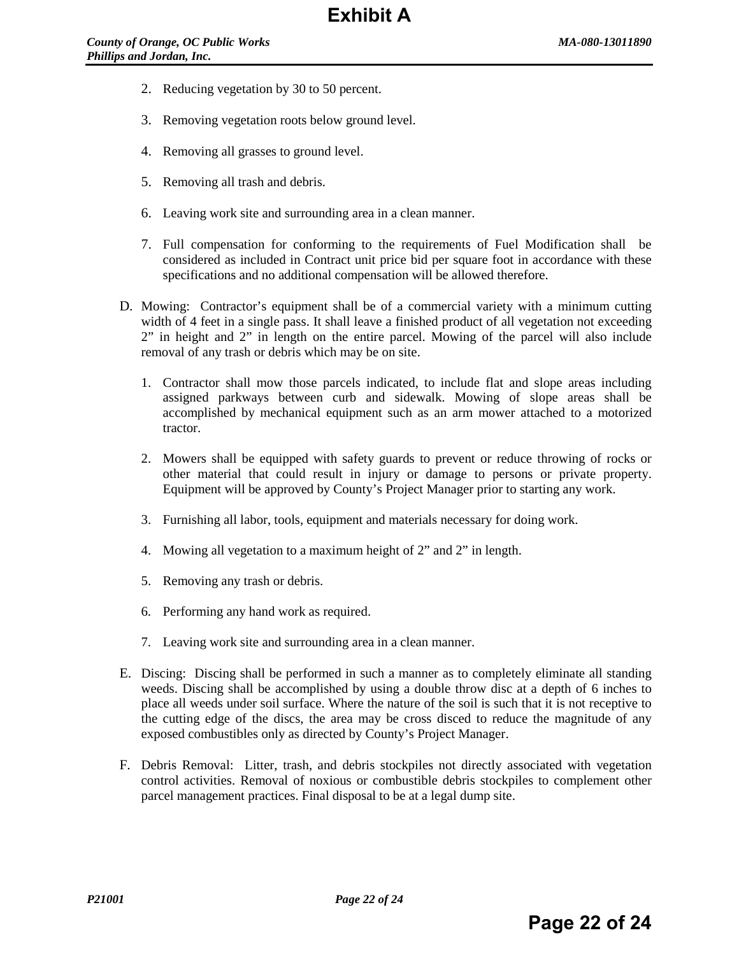- 2. Reducing vegetation by 30 to 50 percent.
- 3. Removing vegetation roots below ground level.
- 4. Removing all grasses to ground level.
- 5. Removing all trash and debris.
- 6. Leaving work site and surrounding area in a clean manner.
- 7. Full compensation for conforming to the requirements of Fuel Modification shall be considered as included in Contract unit price bid per square foot in accordance with these specifications and no additional compensation will be allowed therefore.
- D. Mowing: Contractor's equipment shall be of a commercial variety with a minimum cutting width of 4 feet in a single pass. It shall leave a finished product of all vegetation not exceeding 2" in height and 2" in length on the entire parcel. Mowing of the parcel will also include removal of any trash or debris which may be on site.
	- 1. Contractor shall mow those parcels indicated, to include flat and slope areas including assigned parkways between curb and sidewalk. Mowing of slope areas shall be accomplished by mechanical equipment such as an arm mower attached to a motorized tractor.
	- 2. Mowers shall be equipped with safety guards to prevent or reduce throwing of rocks or other material that could result in injury or damage to persons or private property. Equipment will be approved by County's Project Manager prior to starting any work.
	- 3. Furnishing all labor, tools, equipment and materials necessary for doing work.
	- 4. Mowing all vegetation to a maximum height of 2" and 2" in length.
	- 5. Removing any trash or debris.
	- 6. Performing any hand work as required.
	- 7. Leaving work site and surrounding area in a clean manner.
- E. Discing: Discing shall be performed in such a manner as to completely eliminate all standing weeds. Discing shall be accomplished by using a double throw disc at a depth of 6 inches to place all weeds under soil surface. Where the nature of the soil is such that it is not receptive to the cutting edge of the discs, the area may be cross disced to reduce the magnitude of any exposed combustibles only as directed by County's Project Manager.
- F. Debris Removal: Litter, trash, and debris stockpiles not directly associated with vegetation control activities. Removal of noxious or combustible debris stockpiles to complement other parcel management practices. Final disposal to be at a legal dump site.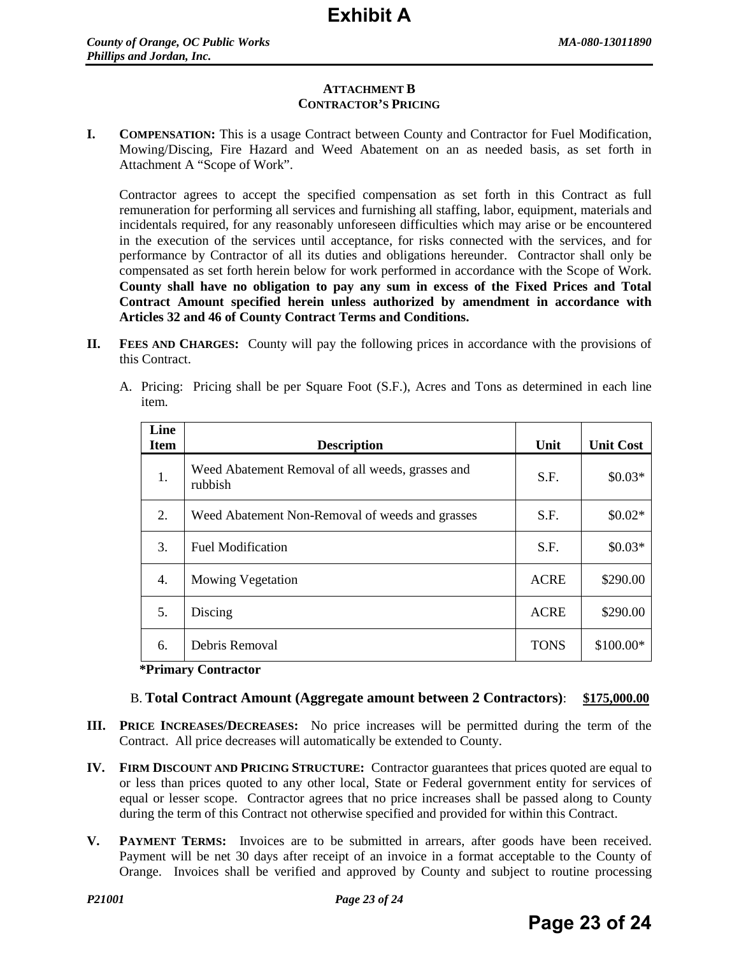## **ATTACHMENT B CONTRACTOR'S PRICING**

**I. COMPENSATION:** This is a usage Contract between County and Contractor for Fuel Modification, Mowing/Discing, Fire Hazard and Weed Abatement on an as needed basis, as set forth in Attachment A "Scope of Work".

Contractor agrees to accept the specified compensation as set forth in this Contract as full remuneration for performing all services and furnishing all staffing, labor, equipment, materials and incidentals required, for any reasonably unforeseen difficulties which may arise or be encountered in the execution of the services until acceptance, for risks connected with the services, and for performance by Contractor of all its duties and obligations hereunder. Contractor shall only be compensated as set forth herein below for work performed in accordance with the Scope of Work. **County shall have no obligation to pay any sum in excess of the Fixed Prices and Total Contract Amount specified herein unless authorized by amendment in accordance with Articles 32 and 46 of County Contract Terms and Conditions.**

- **II. FEES AND CHARGES:** County will pay the following prices in accordance with the provisions of this Contract.
	- A. Pricing: Pricing shall be per Square Foot (S.F.), Acres and Tons as determined in each line item.

| Line<br><b>Item</b> | <b>Description</b>                                          | Unit        | <b>Unit Cost</b> |
|---------------------|-------------------------------------------------------------|-------------|------------------|
| 1.                  | Weed Abatement Removal of all weeds, grasses and<br>rubbish | S.F.        | $$0.03*$         |
| 2.                  | Weed Abatement Non-Removal of weeds and grasses             | S.F.        | $$0.02*$         |
| 3.                  | <b>Fuel Modification</b>                                    | S.F.        | $$0.03*$         |
| 4.                  | <b>Mowing Vegetation</b>                                    | <b>ACRE</b> | \$290.00         |
| 5.                  | Discing                                                     | <b>ACRE</b> | \$290.00         |
| 6.                  | Debris Removal                                              | <b>TONS</b> | \$100.00*        |

#### **\*Primary Contractor**

## B. **Total Contract Amount (Aggregate amount between 2 Contractors)**: **\$175,000.00**

- **III. PRICE INCREASES/DECREASES:** No price increases will be permitted during the term of the Contract. All price decreases will automatically be extended to County.
- **IV. FIRM DISCOUNT AND PRICING STRUCTURE:** Contractor guarantees that prices quoted are equal to or less than prices quoted to any other local, State or Federal government entity for services of equal or lesser scope. Contractor agrees that no price increases shall be passed along to County during the term of this Contract not otherwise specified and provided for within this Contract.
- **V. PAYMENT TERMS:** Invoices are to be submitted in arrears, after goods have been received. Payment will be net 30 days after receipt of an invoice in a format acceptable to the County of Orange. Invoices shall be verified and approved by County and subject to routine processing